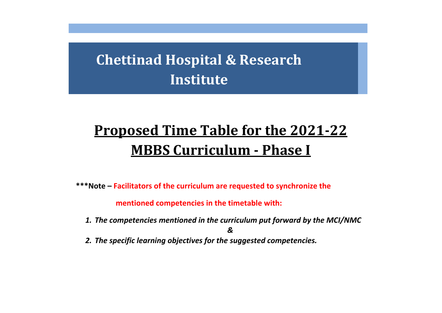# Proposed Time Table for the 2019-20 MBBS **Chettinad Hospital & Research Institute**

# **Proposed Time Table for the 2021-22 MBBS Curriculum - Phase I**

**\*\*\*Note – Facilitators of the curriculum are requested to synchronize the** 

 **mentioned competencies in the timetable with:**

*1. The competencies mentioned in the curriculum put forward by the MCI/NMC*

*&*

*2. The specific learning objectives for the suggested competencies.*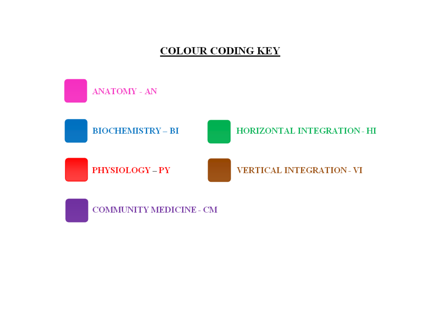### **COLOUR CODING KEY**

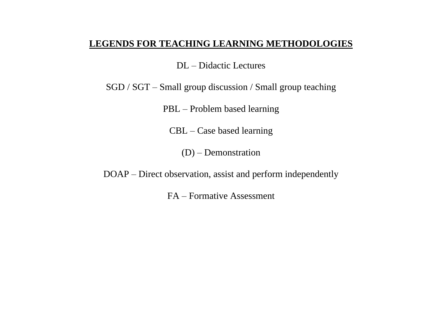#### **LEGENDS FOR TEACHING LEARNING METHODOLOGIES**

DL – Didactic Lectures

SGD / SGT – Small group discussion / Small group teaching

PBL – Problem based learning

CBL – Case based learning

(D) – Demonstration

DOAP – Direct observation, assist and perform independently

FA – Formative Assessment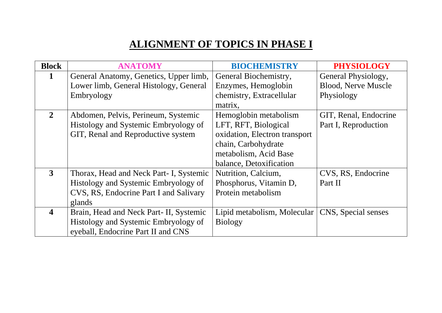## **ALIGNMENT OF TOPICS IN PHASE I**

| <b>Block</b>            | <b>ANATOMY</b>                          | <b>BIOCHEMISTRY</b>           | <b>PHYSIOLOGY</b>          |
|-------------------------|-----------------------------------------|-------------------------------|----------------------------|
| 1                       | General Anatomy, Genetics, Upper limb,  | General Biochemistry,         | General Physiology,        |
|                         | Lower limb, General Histology, General  | Enzymes, Hemoglobin           | <b>Blood, Nerve Muscle</b> |
|                         | Embryology                              | chemistry, Extracellular      | Physiology                 |
|                         |                                         | matrix,                       |                            |
| $\overline{2}$          | Abdomen, Pelvis, Perineum, Systemic     | Hemoglobin metabolism         | GIT, Renal, Endocrine      |
|                         | Histology and Systemic Embryology of    | LFT, RFT, Biological          | Part I, Reproduction       |
|                         | GIT, Renal and Reproductive system      | oxidation, Electron transport |                            |
|                         |                                         | chain, Carbohydrate           |                            |
|                         |                                         | metabolism, Acid Base         |                            |
|                         |                                         | balance, Detoxification       |                            |
| $\mathbf{3}$            | Thorax, Head and Neck Part- I, Systemic | Nutrition, Calcium,           | CVS, RS, Endocrine         |
|                         | Histology and Systemic Embryology of    | Phosphorus, Vitamin D,        | Part II                    |
|                         | CVS, RS, Endocrine Part I and Salivary  | Protein metabolism            |                            |
|                         | glands                                  |                               |                            |
| $\overline{\mathbf{4}}$ | Brain, Head and Neck Part-II, Systemic  | Lipid metabolism, Molecular   | CNS, Special senses        |
|                         | Histology and Systemic Embryology of    | <b>Biology</b>                |                            |
|                         | eyeball, Endocrine Part II and CNS      |                               |                            |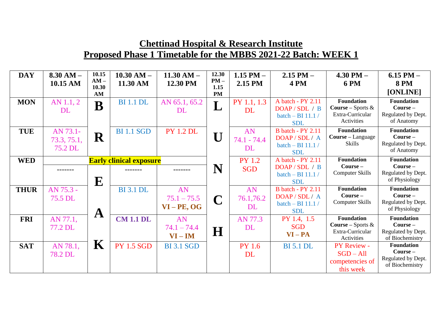| <b>DAY</b>  | $8.30 AM -$ | 10.15<br>$AM -$ | $10.30$ AM $-$                 | $11.30 AM -$      | 12.30<br>$PM -$ | 1.15 PM $-$   | $2.15$ PM $-$            | $4.30$ PM $-$                  | $6.15$ PM $-$                        |
|-------------|-------------|-----------------|--------------------------------|-------------------|-----------------|---------------|--------------------------|--------------------------------|--------------------------------------|
|             | 10.15 AM    | 10.30           | 11.30 AM                       | 12.30 PM          | 1.15            | 2.15 PM       | <b>4 PM</b>              | <b>6 PM</b>                    | <b>8 PM</b>                          |
|             |             | AM              |                                |                   | <b>PM</b>       |               |                          |                                | [ONLINE]                             |
| <b>MON</b>  | AN 1.1, 2   | $\mathbf B$     | <b>BI</b> 1.1 <b>DL</b>        | AN 65.1, 65.2     |                 | PY 1.1, 1.3   | A batch - PY 2.11        | <b>Foundation</b>              | <b>Foundation</b>                    |
|             | DL          |                 |                                | <b>DL</b>         | L               | <b>DL</b>     | DOAP/SDL/B               | <b>Course</b> – Sports $\&$    | Course -                             |
|             |             |                 |                                |                   |                 |               | batch - BI 11.1 /        | Extra-Curricular               | Regulated by Dept.                   |
|             |             |                 |                                |                   |                 |               | <b>SDL</b>               | Activities                     | of Anatomy                           |
| <b>TUE</b>  | AN 73.1-    |                 | <b>BI</b> 1.1 SGD              | <b>PY 1.2 DL</b>  |                 | AN            | <b>B</b> batch - PY 2.11 | <b>Foundation</b>              | <b>Foundation</b>                    |
|             | 73.3, 75.1, | R               |                                |                   | $\mathbf U$     | $74.1 - 74.4$ | DOAP/SDL/A               | Course - Language              | $Course -$                           |
|             | 75.2 DL     |                 |                                |                   |                 | <b>DL</b>     | batch - BI 11.1 /        | <b>Skills</b>                  | Regulated by Dept.                   |
|             |             |                 |                                |                   |                 |               | <b>SDL</b>               |                                | of Anatomy                           |
| <b>WED</b>  |             |                 | <b>Early clinical exposure</b> |                   |                 | <b>PY 1.2</b> | A batch - PY 2.11        | <b>Foundation</b>              | <b>Foundation</b>                    |
|             | -------     |                 | -------                        | -------           | N               | <b>SGD</b>    | DOAP/SDL/B               | Course -                       | $Course -$                           |
|             |             |                 |                                |                   |                 |               | batch - BI 11.1 /        | <b>Computer Skills</b>         | Regulated by Dept.                   |
|             |             | ${\bf E}$       |                                |                   |                 |               | <b>SDL</b>               |                                | of Physiology                        |
| <b>THUR</b> | AN 75.3 -   |                 | <b>BI</b> 3.1 DL               | AN                |                 | AN            | <b>B</b> batch - PY 2.11 | <b>Foundation</b>              | <b>Foundation</b>                    |
|             | 75.5 DL     |                 |                                | $75.1 - 75.5$     | $\mathbf C$     | 76.1,76.2     | DOAP/SDL/A               | Course -                       | Course-                              |
|             |             |                 |                                | $VI - PE, OG$     |                 | <b>DL</b>     | batch - BI 11.1 /        | <b>Computer Skills</b>         | Regulated by Dept.                   |
|             |             | $\mathbf A$     |                                |                   |                 |               | <b>SDL</b>               |                                | of Physiology                        |
| <b>FRI</b>  | AN 77.1,    |                 | <b>CM 1.1 DL</b>               | AN                |                 | AN 77.3       | PY 1.4, 1.5              | <b>Foundation</b>              | <b>Foundation</b>                    |
|             | 77.2 DL     |                 |                                | $74.1 - 74.4$     |                 | <b>DL</b>     | <b>SGD</b>               | <b>Course – Sports &amp;</b>   | Course -                             |
|             |             |                 |                                | $VI - IM$         | $\bf H$         |               | $VI - PA$                | Extra-Curricular<br>Activities | Regulated by Dept.                   |
|             |             | $\mathbf K$     | <b>PY 1.5 SGD</b>              |                   |                 |               |                          |                                | of Biochemistry<br><b>Foundation</b> |
| <b>SAT</b>  | AN 78.1,    |                 |                                | <b>BI</b> 3.1 SGD |                 | <b>PY 1.6</b> | <b>BI</b> 5.1 DL         | PY Review -                    | $Course -$                           |
|             | 78.2 DL     |                 |                                |                   |                 | <b>DL</b>     |                          | $SGD - All$                    | Regulated by Dept.                   |
|             |             |                 |                                |                   |                 |               |                          | competencies of                | of Biochemistry                      |
|             |             |                 |                                |                   |                 |               |                          | this week                      |                                      |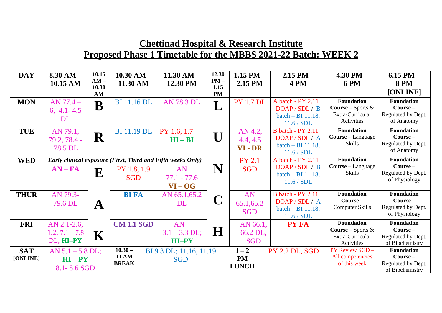| <b>DAY</b>  | $8.30 AM -$        | 10.15           | $10.30$ AM $-$            | $11.30 AM -$                                                | 12.30          | 1.15 PM $-$      | $2.15$ PM $-$            | 4.30 PM $-$                         | $6.15$ PM $-$                       |
|-------------|--------------------|-----------------|---------------------------|-------------------------------------------------------------|----------------|------------------|--------------------------|-------------------------------------|-------------------------------------|
|             | 10.15 AM           | $AM -$<br>10.30 | 11.30 AM                  | 12.30 PM                                                    | $PM -$<br>1.15 | 2.15 PM          | <b>4 PM</b>              | <b>6 PM</b>                         | <b>8 PM</b>                         |
|             |                    | AM              |                           |                                                             | <b>PM</b>      |                  |                          |                                     | [ONLINE]                            |
| <b>MON</b>  | $AN 77.4 -$        | B               | <b>BI</b> 11.16 DL        | <b>AN 78.3 DL</b>                                           |                | <b>PY 1.7 DL</b> | A batch - PY 2.11        | <b>Foundation</b>                   | <b>Foundation</b>                   |
|             | 6, $4.1 - 4.5$     |                 |                           |                                                             | $\mathbf{L}$   |                  | DOAP/SDL/B               | <b>Course – Sports &amp;</b>        | $Course -$                          |
|             | <b>DL</b>          |                 |                           |                                                             |                |                  | batch $-$ BI 11.18,      | Extra-Curricular                    | Regulated by Dept.                  |
|             |                    |                 |                           |                                                             |                |                  | 11.6 / SDL               | Activities                          | of Anatomy                          |
| <b>TUE</b>  | AN 79.1,           |                 | <b>BI</b> 11.19 DL        | PY 1.6, 1.7                                                 |                | AN 4.2,          | <b>B</b> batch - PY 2.11 | <b>Foundation</b>                   | <b>Foundation</b>                   |
|             | 79.2, 78.4 -       | $\mathbf R$     |                           | $HI - BI$                                                   | U              | 4.4, 4.5         | DOAP / SDL / A           | Course - Language                   | $Course -$                          |
|             | 78.5 DL            |                 |                           |                                                             |                | VI - DR          | batch $-$ BI 11.18,      | <b>Skills</b>                       | Regulated by Dept.                  |
|             |                    |                 |                           |                                                             |                |                  | 11.6 / SDL               |                                     | of Anatomy                          |
| <b>WED</b>  |                    |                 |                           | Early clinical exposure (First, Third and Fifth weeks Only) |                | <b>PY 2.1</b>    | A batch - PY 2.11        | <b>Foundation</b>                   | <b>Foundation</b>                   |
|             | $AN - FA$          |                 | PY 1.8, 1.9               | AN                                                          | N              | <b>SGD</b>       | DOAP/SDL/B               | Course - Language                   | $Course -$                          |
|             |                    | ${\bf E}$       | <b>SGD</b>                | $77.1 - 77.6$                                               |                |                  | batch $-$ BI 11.18,      | <b>Skills</b>                       | Regulated by Dept.<br>of Physiology |
|             |                    |                 |                           | $VI - OG$                                                   |                |                  | 11.6 / SDL               |                                     |                                     |
| <b>THUR</b> | AN 79.3-           |                 | <b>BI FA</b>              | AN 65.1,65.2                                                |                | AN               | <b>B</b> batch - PY 2.11 | <b>Foundation</b>                   | <b>Foundation</b>                   |
|             |                    |                 |                           |                                                             | $\mathbf C$    |                  | DOAP/SDL/A               | Course -                            | $Course -$                          |
|             | 79.6 DL            | ${\bf A}$       |                           | DL                                                          |                | 65.1,65.2        | batch $-$ BI 11.18,      | <b>Computer Skills</b>              | Regulated by Dept.                  |
|             |                    |                 |                           |                                                             |                | <b>SGD</b>       | 11.6 / SDL               |                                     | of Physiology                       |
| <b>FRI</b>  | $AN$ 2.1-2.6,      |                 | <b>CM 1.1 SGD</b>         | AN                                                          |                | AN 66.1,         | <b>PY FA</b>             | <b>Foundation</b>                   | <b>Foundation</b>                   |
|             | $1.2, 7.1 - 7.8$   |                 |                           | $3.1 - 3.3$ DL;                                             | $\bf H$        | 66.2 DL,         |                          | <b>Course</b> – Sports $\&$         | $Course -$                          |
|             | DL; HI-PY          | $\mathbf K$     |                           | HI-PY                                                       |                | <b>SGD</b>       |                          | Extra-Curricular                    | Regulated by Dept.                  |
|             |                    |                 |                           |                                                             |                |                  |                          | Activities                          | of Biochemistry                     |
| <b>SAT</b>  | $AN 5.1 - 5.8 DL;$ |                 | $10.30 -$<br><b>11 AM</b> | BI 9.3 DL; 11.16, 11.19                                     |                | $1 - 2$          | <b>PY 2.2 DL, SGD</b>    | PY Review SGD -<br>All competencies | <b>Foundation</b><br>$Course -$     |
| [ONLINE]    | $HI - PY$          |                 | <b>BREAK</b>              | <b>SGD</b>                                                  |                | <b>PM</b>        |                          | of this week                        | Regulated by Dept.                  |
|             | 8.1 - 8.6 SGD      |                 |                           |                                                             |                | <b>LUNCH</b>     |                          |                                     | of Biochemistry                     |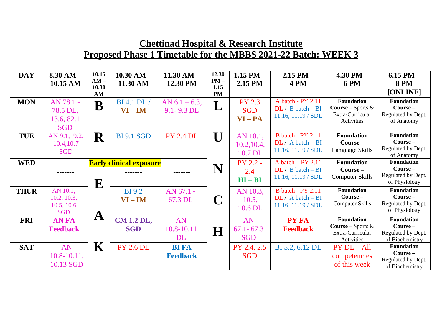| <b>DAY</b>  | $8.30 AM -$<br>10.15 AM                             | 10.15<br>$AM -$<br>10.30 | $10.30$ AM $-$<br>11.30 AM             | $11.30 AM -$<br>12.30 PM         | 12.30<br>$PM -$<br>1.15 | 1.15 PM $-$<br>2.15 PM                   | $2.15$ PM $-$<br><b>4 PM</b>                                               | 4.30 PM $-$<br><b>6 PM</b>                                                         | $6.15$ PM $-$<br><b>8 PM</b>                                             |
|-------------|-----------------------------------------------------|--------------------------|----------------------------------------|----------------------------------|-------------------------|------------------------------------------|----------------------------------------------------------------------------|------------------------------------------------------------------------------------|--------------------------------------------------------------------------|
|             |                                                     | AM                       |                                        |                                  | <b>PM</b>               |                                          |                                                                            |                                                                                    | [ONLINE]                                                                 |
| <b>MON</b>  | AN 78.1 -<br>78.5 DL,<br>13.6, 82.1<br><b>SGD</b>   | B                        | <b>BI</b> 4.1 <b>DL</b> /<br>$VI - IM$ | AN $6.1 - 6.3$ ,<br>9.1 - 9.3 DL | Т<br>┸                  | <b>PY 2.3</b><br><b>SGD</b><br>$VI - PA$ | A batch - PY 2.11<br>$DL / B batch - BI$<br>$11.16$ , $11.19 / SDL$        | <b>Foundation</b><br><b>Course</b> – Sports $\&$<br>Extra-Curricular<br>Activities | <b>Foundation</b><br>$Course -$<br>Regulated by Dept.<br>of Anatomy      |
| <b>TUE</b>  | AN 9.1, 9.2,<br>10.4,10.7<br><b>SGD</b>             | $\mathbf R$              | <b>BI 9.1 SGD</b>                      | <b>PY 2.4 DL</b>                 | $\mathbf{U}$            | AN 10.1,<br>10.2, 10.4,<br>10.7 DL       | <b>B</b> batch - PY 2.11<br>$DL / A batch - BI$<br>$11.16$ , $11.19 / SDL$ | <b>Foundation</b><br>$Course -$<br>Language Skills                                 | <b>Foundation</b><br>$Course -$<br>Regulated by Dept.<br>of Anatomy      |
| <b>WED</b>  | <b>Early clinical exposure</b>                      |                          |                                        |                                  | PY 2.2 -                | A batch $-$ PY 2.11                      | <b>Foundation</b>                                                          | <b>Foundation</b>                                                                  |                                                                          |
|             |                                                     | ${\bf E}$                |                                        |                                  | N                       | 2.4<br>$HI - BI$                         | $DL / B batch - BI$<br>$11.16$ , $11.19 / SDL$                             | $Course-$<br><b>Computer Skills</b>                                                | Course -<br>Regulated by Dept.<br>of Physiology                          |
| <b>THUR</b> | AN 10.1,<br>10.2, 10.3,<br>10.5, 10.6<br><b>SGD</b> | $\mathbf A$              | <b>BI</b> 9.2<br>$VI - IM$             | AN 67.1 -<br>67.3 DL             | $\mathbf C$             | AN 10.3,<br>10.5,<br>10.6 DL             | <b>B</b> batch - PY 2.11<br>$DL / A batch - BI$<br>$11.16$ , $11.19 / SDL$ | <b>Foundation</b><br>Course -<br><b>Computer Skills</b>                            | <b>Foundation</b><br>$Course -$<br>Regulated by Dept.<br>of Physiology   |
| <b>FRI</b>  | <b>ANFA</b><br><b>Feedback</b>                      |                          | <b>CM 1.2 DL,</b><br><b>SGD</b>        | AN<br>10.8-10.11<br><b>DL</b>    | H                       | AN<br>$67.1 - 67.3$<br><b>SGD</b>        | <b>PY FA</b><br><b>Feedback</b>                                            | <b>Foundation</b><br><b>Course</b> – Sports $\&$<br>Extra-Curricular<br>Activities | <b>Foundation</b><br>$Course -$<br>Regulated by Dept.<br>of Biochemistry |
| <b>SAT</b>  | AN<br>$10.8 - 10.11$ ,<br>10.13 SGD                 | ${\bf K}$                | <b>PY 2.6 DL</b>                       | <b>BI FA</b><br><b>Feedback</b>  |                         | PY 2.4, 2.5<br><b>SGD</b>                | BI 5.2, 6.12 DL                                                            | $PY DL - All$<br>competencies<br>of this week                                      | <b>Foundation</b><br>$Course -$<br>Regulated by Dept.<br>of Biochemistry |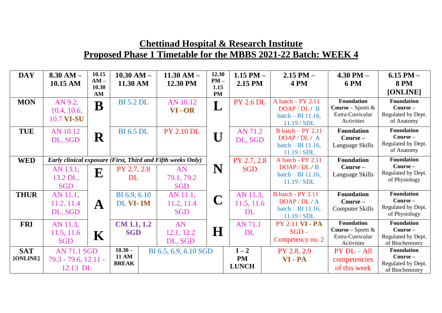| <b>DAY</b>  | $8.30 AM -$          | 10.15           | $10.30$ AM $-$     | $11.30$ AM $-$                                              | 12.30          | 1.15 PM $-$      | $2.15$ PM $-$            | $4.30$ PM $-$                | $6.15$ PM $-$                        |
|-------------|----------------------|-----------------|--------------------|-------------------------------------------------------------|----------------|------------------|--------------------------|------------------------------|--------------------------------------|
|             | 10.15 AM             | $AM -$<br>10.30 | 11.30 AM           | 12.30 PM                                                    | $PM -$<br>1.15 | 2.15 PM          | 4 PM                     | <b>6 PM</b>                  | <b>8 PM</b>                          |
|             |                      | AM              |                    |                                                             | <b>PM</b>      |                  |                          |                              | [ONLINE]                             |
| <b>MON</b>  | AN 9.2,              | $\bf{B}$        | <b>BI 5.2 DL</b>   | AN 10.12                                                    |                | <b>PY 2.6 DL</b> | A batch $-$ PY 2.11      | <b>Foundation</b>            | <b>Foundation</b>                    |
|             | 10.4, 10.6,          |                 |                    | VI-OR                                                       | $\mathbf{L}$   |                  | DOAP/DL/ B               | <b>Course - Sports &amp;</b> | Course -                             |
|             | 10.7 VI-SU           |                 |                    |                                                             |                |                  | batch $-$ BI 11.16,      | Extra-Curricular             | Regulated by Dept.                   |
|             |                      |                 |                    |                                                             |                |                  | 11.19 / SDL              | Activities                   | of Anatomy                           |
| <b>TUE</b>  | AN 10.12             |                 | <b>BI</b> 6.5 DL   | <b>PY 2.10 DL</b>                                           |                | AN 71.2          | B batch $-$ PY 2.11      | <b>Foundation</b>            | <b>Foundation</b>                    |
|             | DL, SGD              | R               |                    |                                                             | $\mathbf U$    | DL, SGD          | DOAP/DL/A                | Course-                      | $Course -$                           |
|             |                      |                 |                    |                                                             |                |                  | batch $-$ BI 11.16,      | Language Skills              | Regulated by Dept.                   |
|             |                      |                 |                    |                                                             |                |                  | 11.19 / SDL              |                              | of Anatomy                           |
| <b>WED</b>  |                      |                 |                    | Early clinical exposure (First, Third and Fifth weeks Only) |                | PY 2.7, 2.8      | A batch - PY 2.11        | <b>Foundation</b>            | <b>Foundation</b>                    |
|             | AN 13.1,             |                 | PY 2.7, 2.8        | AN                                                          | N              | <b>SGD</b>       | DOAP / DL / B            | Course –                     | $Course -$                           |
|             | 13.2 DL,             | E               | <b>DL</b>          | 79.1, 79.2                                                  |                |                  | batch $-$ BI 11.16,      | Language Skills              | Regulated by Dept.                   |
|             | <b>SGD</b>           |                 |                    | <b>SGD</b>                                                  |                |                  | 11.19 / SDL              |                              | of Physiology                        |
| <b>THUR</b> | AN 11.1,             |                 | BI 6.9, 6.10       | AN 11.1,                                                    |                | AN 11.3,         | <b>B</b> batch - PY 2.11 | <b>Foundation</b>            | <b>Foundation</b>                    |
|             | 11.2, 11.4           |                 | DL VI-IM           | 11.2, 11.4                                                  | $\mathbf C$    | 11.5, 11.6       | DOAP/DL/A                | $Course -$                   | Course -                             |
|             | DL, SGD              | ${\bf A}$       |                    | <b>SGD</b>                                                  |                | DL               | batch $-$ BI 11.16,      | <b>Computer Skills</b>       | Regulated by Dept.                   |
|             |                      |                 |                    |                                                             |                |                  | 11.19 / SDL              |                              | of Physiology                        |
| <b>FRI</b>  | AN 11.3,             |                 | <b>CM 1.1, 1.2</b> | AN                                                          |                | <b>AN 71.1</b>   | <b>PY 2.11 VI - PA</b>   | <b>Foundation</b>            | <b>Foundation</b>                    |
|             | 11.5, 11.6           |                 | <b>SGD</b>         | 12.1, 12.2                                                  | $\bf H$        | <b>DL</b>        | $SGD -$                  | <b>Course</b> – Sports $\&$  | Course-                              |
|             | <b>SGD</b>           | $\mathbf K$     |                    | DL, SGD                                                     |                |                  | Competency no. 2         | Extra-Curricular             | Regulated by Dept.                   |
|             |                      |                 | $10.30 -$          |                                                             |                |                  |                          | Activities                   | of Biochemistry<br><b>Foundation</b> |
| <b>SAT</b>  | <b>AN 71.1 SGD</b>   |                 | <b>11 AM</b>       | BI 6.5, 6.9, 6.10 SGD                                       |                | $1 - 2$          | PY 2.8, 2.9              | $PY DL - All$                | Course-                              |
| [ONLINE]    | 79.3 - 79.6, 12.11 - |                 | <b>BREAK</b>       |                                                             |                | <b>PM</b>        | VI-PA                    | competencies                 | Regulated by Dept.                   |
|             | 12.13 DL             |                 |                    |                                                             |                | <b>LUNCH</b>     |                          | of this week                 | of Biochemistry                      |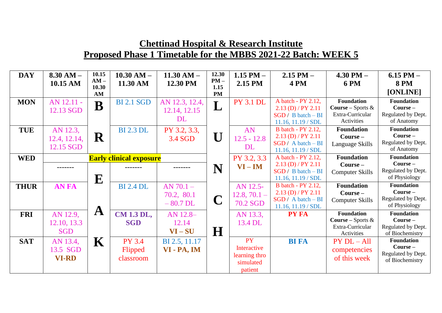| <b>DAY</b>  | $8.30$ AM $-$ | 10.15           | $10.30$ AM $-$                 | $11.30 AM -$   | 12.30          | $1.15$ PM $-$    | $2.15$ PM $-$             | $4.30$ PM $-$                                    | $6.15$ PM $-$                       |
|-------------|---------------|-----------------|--------------------------------|----------------|----------------|------------------|---------------------------|--------------------------------------------------|-------------------------------------|
|             | 10.15 AM      | $AM -$<br>10.30 | 11.30 AM                       | 12.30 PM       | $PM -$<br>1.15 | 2.15 PM          | <b>4 PM</b>               | <b>6 PM</b>                                      | <b>8 PM</b>                         |
|             |               | AM              |                                |                | <b>PM</b>      |                  |                           |                                                  | [ONLINE]                            |
| <b>MON</b>  | AN 12.11 -    |                 | <b>BI 2.1 SGD</b>              | AN 12.3, 12.4, |                | <b>PY 3.1 DL</b> | A batch - PY 2.12,        | <b>Foundation</b>                                | <b>Foundation</b>                   |
|             | 12.13 SGD     | $\bf{B}$        |                                | 12.14, 12.15   | L              |                  | $2.13$ (D) / PY 2.11      | <b>Course</b> – Sports $\&$                      | Course-                             |
|             |               |                 |                                | <b>DL</b>      |                |                  | $SGD / B batch - BI$      | Extra-Curricular                                 | Regulated by Dept.                  |
|             |               |                 |                                |                |                |                  | $11.16$ , $11.19 / SDL$   | Activities                                       | of Anatomy                          |
| <b>TUE</b>  | AN 12.3,      |                 | <b>BI 2.3 DL</b>               | PY 3.2, 3.3,   |                | AN               | <b>B</b> batch - PY 2.12, | <b>Foundation</b>                                | <b>Foundation</b>                   |
|             | 12.4, 12.14,  | $\mathbf R$     |                                | 3.4 SGD        | U              | $12.5 - 12.8$    | $2.13$ (D) / PY 2.11      | $Course -$                                       | $Course -$                          |
|             | 12.15 SGD     |                 |                                |                |                | DL               | $SGD / A batch - BI$      | Language Skills                                  | Regulated by Dept.                  |
|             |               |                 |                                |                |                |                  | $11.16$ , $11.19 / SDL$   |                                                  | of Anatomy                          |
| <b>WED</b>  |               |                 | <b>Early clinical exposure</b> |                |                | PY 3.2, 3.3      | A batch - PY 2.12,        | <b>Foundation</b>                                | <b>Foundation</b>                   |
|             |               |                 |                                |                | N              | $VI - IM$        | $2.13$ (D) / PY 2.11      | $Course -$                                       | $Course -$                          |
|             |               |                 |                                |                |                |                  | $SGD / B batch - BI$      | <b>Computer Skills</b>                           | Regulated by Dept.                  |
|             |               | ${\bf E}$       |                                |                |                |                  | $11.16$ , $11.19 / SDL$   |                                                  | of Physiology                       |
| <b>THUR</b> | <b>AN FA</b>  |                 | <b>BI</b> 2.4 DL               | $AN 70.1 -$    |                | AN 12.5-         | <b>B</b> batch - PY 2.12, | <b>Foundation</b>                                | <b>Foundation</b>                   |
|             |               |                 |                                | 70.2, 80.1     |                | $12.8, 70.1 -$   | $2.13$ (D) / PY 2.11      | $Course -$                                       | $Course -$                          |
|             |               |                 |                                | $-80.7$ DL     | $\mathbf C$    | 70.2 SGD         | $SGD / A batch - BI$      | <b>Computer Skills</b>                           | Regulated by Dept.<br>of Physiology |
|             |               | $\mathbf A$     |                                |                |                |                  | 11.16, 11.19 / SDL        |                                                  |                                     |
| <b>FRI</b>  | AN 12.9,      |                 | <b>CM 1.3 DL,</b>              | AN 12.8-       |                | AN 13.3,         | <b>PY FA</b>              | <b>Foundation</b><br><b>Course</b> – Sports $\&$ | <b>Foundation</b><br>$Course -$     |
|             | 12.10, 13.3   |                 | <b>SGD</b>                     | 12.14          |                | 13.4 DL          |                           | Extra-Curricular                                 | Regulated by Dept.                  |
|             | <b>SGD</b>    |                 |                                | $VI-SU$        | $\bf H$        |                  |                           | Activities                                       | of Biochemistry                     |
| <b>SAT</b>  | AN 13.4,      | $\mathbf K$     | <b>PY 3.4</b>                  | BI 2.5, 11.17  |                | <b>PY</b>        | <b>BI FA</b>              | $PY DL - All$                                    | <b>Foundation</b>                   |
|             |               |                 |                                |                |                | Interactive      |                           |                                                  | Course -                            |
|             | 13.5 SGD      |                 | Flipped                        | VI - PA, IM    |                | learning thro    |                           | competencies                                     | Regulated by Dept.                  |
|             | <b>VI-RD</b>  |                 | classroom                      |                |                | simulated        |                           | of this week                                     | of Biochemistry                     |
|             |               |                 |                                |                |                | patient          |                           |                                                  |                                     |
|             |               |                 |                                |                |                |                  |                           |                                                  |                                     |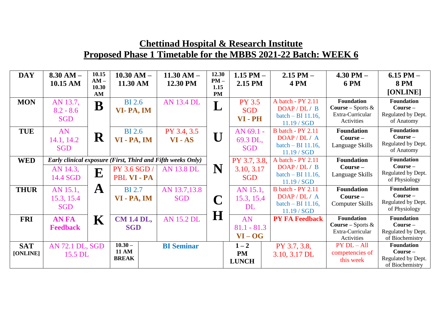| <b>DAY</b>  | $8.30$ AM $-$   | 10.15           | $10.30 AM -$      | $11.30$ AM $-$                                              | 12.30          | 1.15 PM $-$   | $2.15$ PM $-$                    | $4.30$ PM $-$                   | $6.15$ PM $-$                         |
|-------------|-----------------|-----------------|-------------------|-------------------------------------------------------------|----------------|---------------|----------------------------------|---------------------------------|---------------------------------------|
|             | 10.15 AM        | $AM -$<br>10.30 | 11.30 AM          | 12.30 PM                                                    | $PM -$<br>1.15 | 2.15 PM       | <b>4 PM</b>                      | <b>6 PM</b>                     | <b>8 PM</b>                           |
|             |                 | AM              |                   |                                                             | <b>PM</b>      |               |                                  |                                 | [ONLINE]                              |
| <b>MON</b>  | AN 13.7,        | B               | <b>BI</b> 2.6     | <b>AN 13.4 DL</b>                                           |                | <b>PY 3.5</b> | A batch - PY 2.11                | <b>Foundation</b>               | <b>Foundation</b>                     |
|             | $8.2 - 8.6$     |                 | VI-PA, IM         |                                                             | L              | <b>SGD</b>    | DOAP/DL/ B                       | <b>Course – Sports &amp;</b>    | Course -                              |
|             | <b>SGD</b>      |                 |                   |                                                             |                | VI-PH         | batch - BI 11.16,<br>11.19 / SGD | Extra-Curricular<br>Activities  | Regulated by Dept.<br>of Anatomy      |
| <b>TUE</b>  | AN              |                 | <b>BI</b> 2.6     | PY 3.4, 3.5                                                 |                | AN 69.1 -     | <b>B</b> batch - PY 2.11         | <b>Foundation</b>               | <b>Foundation</b>                     |
|             | 14.1, 14.2      | $\mathbf R$     | VI - PA, IM       | $VI - AS$                                                   | U              | 69.3 DL,      | DOAP/DL/A                        | $Course -$                      | $Course -$                            |
|             | <b>SGD</b>      |                 |                   |                                                             |                | <b>SGD</b>    | batch - BI 11.16,                | Language Skills                 | Regulated by Dept.                    |
|             |                 |                 |                   |                                                             |                |               | 11.19 / SGD                      |                                 | of Anatomy                            |
| <b>WED</b>  |                 |                 |                   | Early clinical exposure (First, Third and Fifth weeks Only) |                | PY 3.7, 3.8,  | A batch - PY 2.11                | <b>Foundation</b>               | <b>Foundation</b>                     |
|             | AN 14.3,        | ${\bf E}$       | PY 3.6 SGD /      | <b>AN 13.8 DL</b>                                           | N              | 3.10, 3.17    | DOAP/DL/ B                       | $Course -$                      | $Course -$<br>Regulated by Dept.      |
|             | 14.4 SGD        |                 | PBL VI - PA       |                                                             |                | <b>SGD</b>    | batch $-$ BI 11.16,              | Language Skills                 | of Physiology                         |
|             |                 |                 |                   |                                                             |                |               | 11.19 / SGD                      |                                 | <b>Foundation</b>                     |
| <b>THUR</b> | AN 15.1,        | $\mathbf A$     | <b>BI</b> 2.7     | AN 13.7,13.8                                                |                | AN 15.1,      | <b>B</b> batch - PY 2.11         | <b>Foundation</b><br>$Course -$ | Course -                              |
|             | 15.3, 15.4      |                 | VI - PA, IM       | <b>SGD</b>                                                  | C              | 15.3, 15.4    | DOAP/DL/A<br>batch - BI 11.16,   |                                 | Regulated by Dept.                    |
|             | <b>SGD</b>      |                 |                   |                                                             |                | DL            | 11.19 / SGD                      | <b>Computer Skills</b>          | of Physiology                         |
| <b>FRI</b>  | <b>AN FA</b>    | $\mathbf K$     | <b>CM 1.4 DL,</b> | <b>AN 15.2 DL</b>                                           | H              | AN            | <b>PY FA Feedback</b>            | <b>Foundation</b>               | <b>Foundation</b>                     |
|             | <b>Feedback</b> |                 | <b>SGD</b>        |                                                             |                | $81.1 - 81.3$ |                                  | <b>Course – Sports &amp;</b>    | $Course -$                            |
|             |                 |                 |                   |                                                             |                |               |                                  | Extra-Curricular                | Regulated by Dept.                    |
|             |                 |                 |                   |                                                             |                | $VI - OG$     |                                  | Activities                      | of Biochemistry                       |
| <b>SAT</b>  | AN 72.1 DL, SGD |                 | $10.30 -$         | <b>BI</b> Seminar                                           |                | $1 - 2$       | PY 3.7, 3.8,                     | $PY DL - All$                   | <b>Foundation</b>                     |
| [ONLINE]    | 15.5 DL         |                 | <b>11 AM</b>      |                                                             |                | <b>PM</b>     | 3.10, 3.17 DL                    | competencies of                 | $Course -$                            |
|             |                 |                 | <b>BREAK</b>      |                                                             |                | <b>LUNCH</b>  |                                  | this week                       | Regulated by Dept.<br>of Biochemistry |
|             |                 |                 |                   |                                                             |                |               |                                  |                                 |                                       |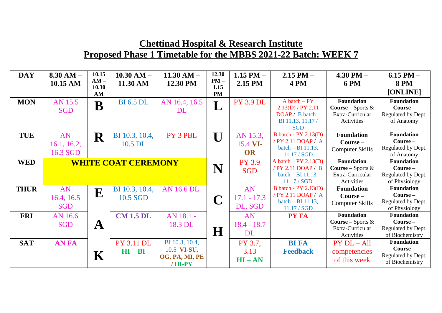| <b>DAY</b>  | $8.30$ AM $-$              | 10.15<br>$AM -$ | $10.30$ AM $-$    | $11.30 AM -$      | 12.30<br>$PM -$ | 1.15 PM $-$      | $2.15$ PM $-$             | $4.30$ PM $-$               | $6.15$ PM $-$                         |
|-------------|----------------------------|-----------------|-------------------|-------------------|-----------------|------------------|---------------------------|-----------------------------|---------------------------------------|
|             | 10.15 AM                   | 10.30           | 11.30 AM          | 12.30 PM          | 1.15            | 2.15 PM          | <b>4 PM</b>               | <b>6 PM</b>                 | <b>8 PM</b>                           |
|             |                            | AM              |                   |                   | <b>PM</b>       |                  |                           |                             | [ONLINE]                              |
| <b>MON</b>  | AN 15.5                    |                 | <b>BI</b> 6.5 DL  | AN 16.4, 16.5     |                 | <b>PY 3.9 DL</b> | $A batch - PY$            | <b>Foundation</b>           | <b>Foundation</b>                     |
|             | <b>SGD</b>                 | $\bf B$         |                   | DL                | L               |                  | $2.13(D)$ / PY $2.11$     | <b>Course</b> – Sports $\&$ | $Course -$                            |
|             |                            |                 |                   |                   |                 |                  | $DOAP / B batch -$        | Extra-Curricular            | Regulated by Dept.                    |
|             |                            |                 |                   |                   |                 |                  | BI 11.13, 11.17/          | Activities                  | of Anatomy                            |
|             |                            |                 |                   |                   |                 |                  | <b>SGD</b>                |                             |                                       |
| <b>TUE</b>  | AN                         | ${\bf R}$       | BI 10.3, 10.4,    | PY 3 PBL          | $\mathbf{U}$    | AN 15.3,         | B batch - $PY$ 2.13 $(D)$ | <b>Foundation</b>           | <b>Foundation</b>                     |
|             | 16.1, 16.2,                |                 | 10.5 DL           |                   |                 | 15.4 VI-         | / PY 2.11 DOAP / A        | $Course -$                  | Course-                               |
|             | 16.3 SGD                   |                 |                   |                   |                 | OR               | batch $-$ BI 11.13,       | <b>Computer Skills</b>      | Regulated by Dept.                    |
|             |                            |                 |                   |                   |                 |                  | 11.17 / SGD               |                             | of Anatomy                            |
| <b>WED</b>  | <b>WHITE COAT CEREMONY</b> |                 |                   |                   |                 | <b>PY 3.9</b>    | A batch $-$ PY 2.13(D)    | <b>Foundation</b>           | Foundation                            |
|             |                            |                 |                   |                   | N               | <b>SGD</b>       | / PY 2.11 DOAP / B        | <b>Course</b> – Sports $\&$ | $Course -$                            |
|             |                            |                 |                   |                   |                 |                  | batch $-$ BI 11.13,       | Extra-Curricular            | Regulated by Dept.                    |
|             |                            |                 |                   |                   |                 |                  | 11.17 / SGD               | Activities                  | of Physiology                         |
| <b>THUR</b> | AN                         | ${\bf E}$       | BI 10.3, 10.4,    | <b>AN 16.6 DL</b> |                 | AN               | B batch - $PY$ 2.13 $(D)$ | <b>Foundation</b>           | <b>Foundation</b>                     |
|             | 16.4, 16.5                 |                 | 10.5 SGD          |                   | $\mathbf C$     | $17.1 - 17.3$    | / PY 2.11 DOAP / A        | $Course -$                  | $Course -$                            |
|             | <b>SGD</b>                 |                 |                   |                   |                 | DL, SGD          | batch $-$ BI 11.13,       | <b>Computer Skills</b>      | Regulated by Dept.                    |
|             |                            |                 |                   |                   |                 |                  | 11.17 / SGD               |                             | of Physiology                         |
| <b>FRI</b>  | AN 16.6                    |                 | <b>CM 1.5 DL</b>  | AN 18.1 -         |                 | AN               | <b>PY FA</b>              | <b>Foundation</b>           | <b>Foundation</b>                     |
|             | <b>SGD</b>                 | $\mathbf A$     |                   | 18.3 DL           |                 | $18.4 - 18.7$    |                           | <b>Course</b> – Sports $\&$ | Course-                               |
|             |                            |                 |                   |                   | $\bf H$         | DL               |                           | Extra-Curricular            | Regulated by Dept.                    |
|             |                            |                 |                   |                   |                 |                  |                           | Activities                  | of Biochemistry                       |
| <b>SAT</b>  | <b>ANFA</b>                |                 | <b>PY 3.11 DL</b> | BI 10.3, 10.4,    |                 | PY 3.7,          | <b>BI FA</b>              | $PY DL - All$               | <b>Foundation</b>                     |
|             |                            |                 | $HI - BI$         | 10.5 VI-SU,       |                 | 3.13             | <b>Feedback</b>           | competencies                | Course-                               |
|             |                            | $\mathbf K$     |                   | OG, PA, MI, PE    |                 | $HI - AN$        |                           | of this week                | Regulated by Dept.<br>of Biochemistry |
|             |                            |                 |                   | /HI-PY            |                 |                  |                           |                             |                                       |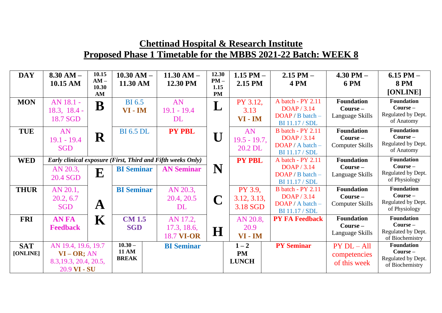| <b>DAY</b>  | $8.30 AM -$<br>10.15 AM    | 10.15<br>$AM -$<br>10.30 | $10.30$ AM $-$<br>11.30 AM | $11.30 AM -$<br>12.30 PM                                    | 12.30<br>$PM -$<br>1.15 | 1.15 PM $-$<br>2.15 PM | $2.15$ PM $-$<br>4 PM                              | $4.30$ PM $-$<br><b>6 PM</b>  | $6.15$ PM $-$<br><b>8 PM</b>          |
|-------------|----------------------------|--------------------------|----------------------------|-------------------------------------------------------------|-------------------------|------------------------|----------------------------------------------------|-------------------------------|---------------------------------------|
|             |                            | AM                       |                            |                                                             | <b>PM</b>               |                        |                                                    |                               | [ONLINE]                              |
| <b>MON</b>  | AN 18.1 -                  | B                        | <b>BI</b> 6.5              | AN                                                          | $\mathbf{L}$            | PY 3.12,               | A batch - PY 2.11<br>DOAP / 3.14                   | <b>Foundation</b>             | <b>Foundation</b><br>Course-          |
|             | $18.3, 18.4 -$<br>18.7 SGD |                          | VI - IM                    | $19.1 - 19.4$<br><b>DL</b>                                  |                         | 3.13<br>VI - IM        | $DOAP / B batch -$                                 | $Course -$<br>Language Skills | Regulated by Dept.                    |
|             |                            |                          |                            |                                                             |                         |                        | <b>BI</b> 11.17 / <b>SDL</b>                       |                               | of Anatomy                            |
| <b>TUE</b>  | AN                         |                          | <b>BI</b> 6.5 DL           | <b>PY PBL</b>                                               |                         | AN                     | <b>B</b> batch - PY 2.11                           | <b>Foundation</b>             | <b>Foundation</b>                     |
|             | $19.1 - 19.4$              | ${\bf R}$                |                            |                                                             | $\mathbf U$             | $19.5 - 19.7$ ,        | DOAP / 3.14                                        | $Course -$                    | $Course -$                            |
|             | <b>SGD</b>                 |                          |                            |                                                             |                         | 20.2 DL                | $DOAP / A batch -$<br><b>BI</b> 11.17 / <b>SDL</b> | <b>Computer Skills</b>        | Regulated by Dept.<br>of Anatomy      |
| <b>WED</b>  |                            |                          |                            | Early clinical exposure (First, Third and Fifth weeks Only) |                         | <b>PY PBL</b>          | A batch - PY 2.11                                  | <b>Foundation</b>             | <b>Foundation</b>                     |
|             | AN 20.3,                   |                          | <b>BI</b> Seminar          | <b>AN Seminar</b>                                           | N                       |                        | DOAP / 3.14                                        | $Course -$                    | $Course -$                            |
|             | 20.4 SGD                   | E                        |                            |                                                             |                         |                        | $DOAP / B batch -$                                 | Language Skills               | Regulated by Dept.                    |
|             |                            |                          |                            |                                                             |                         |                        | <b>BI</b> 11.17 / <b>SDL</b>                       |                               | of Physiology                         |
| <b>THUR</b> | AN 20.1,                   |                          | <b>BI</b> Seminar          | AN 20.3,                                                    |                         | PY 3.9,                | <b>B</b> batch - PY 2.11                           | <b>Foundation</b>             | <b>Foundation</b>                     |
|             | 20.2, 6.7                  |                          |                            | 20.4, 20.5                                                  | C                       | 3.12, 3.13,            | DOAP / 3.14                                        | $Course -$                    | $Course -$                            |
|             | <b>SGD</b>                 | $\mathbf{A}$             |                            | <b>DL</b>                                                   |                         | 3.18 SGD               | DOAP / A batch -                                   | <b>Computer Skills</b>        | Regulated by Dept.                    |
|             |                            |                          |                            |                                                             |                         |                        | <b>BI</b> 11.17 / <b>SDL</b>                       |                               | of Physiology                         |
| <b>FRI</b>  | <b>AN FA</b>               | $\mathbf K$              | <b>CM 1.5</b>              | AN 17.2,                                                    |                         | AN 20.8,               | <b>PY FA Feedback</b>                              | <b>Foundation</b>             | <b>Foundation</b>                     |
|             | <b>Feedback</b>            |                          | <b>SGD</b>                 | 17.3, 18.6,                                                 | $\bf H$                 | 20.9                   |                                                    | $Course -$                    | $Course -$<br>Regulated by Dept.      |
|             |                            |                          |                            | <b>18.7 VI-OR</b>                                           |                         | $VI - IM$              |                                                    | Language Skills               | of Biochemistry                       |
| <b>SAT</b>  | AN 19.4, 19.6, 19.7        |                          | $10.30 -$                  | <b>BI</b> Seminar                                           |                         | $1 - 2$                | <b>PY Seminar</b>                                  | $PY DL - All$                 | <b>Foundation</b>                     |
| [ONLINE]    | $VI - OR$ ; AN             |                          | <b>11 AM</b>               |                                                             |                         | <b>PM</b>              |                                                    | competencies                  | $Course -$                            |
|             | 8.3, 19.3, 20.4, 20.5,     |                          | <b>BREAK</b>               |                                                             |                         | <b>LUNCH</b>           |                                                    | of this week                  | Regulated by Dept.<br>of Biochemistry |
|             | 20.9 VI - SU               |                          |                            |                                                             |                         |                        |                                                    |                               |                                       |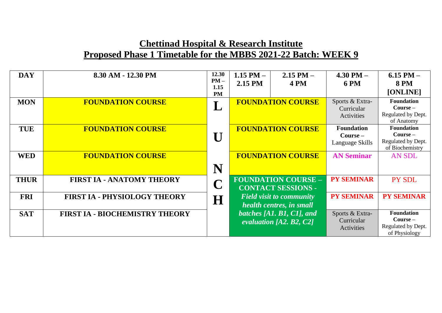| <b>DAY</b>  | 8.30 AM - 12.30 PM                    | 12.30<br>$PM -$<br>1.15<br><b>PM</b> | 1.15 PM $-$<br>2.15 PM | $2.15$ PM $-$<br><b>4 PM</b>                                | $4.30$ PM $-$<br><b>6 PM</b>                       | $6.15$ PM $-$<br><b>8 PM</b><br>[ONLINE]                                 |
|-------------|---------------------------------------|--------------------------------------|------------------------|-------------------------------------------------------------|----------------------------------------------------|--------------------------------------------------------------------------|
| <b>MON</b>  | <b>FOUNDATION COURSE</b>              |                                      |                        | <b>FOUNDATION COURSE</b>                                    | Sports & Extra-<br>Curricular<br>Activities        | <b>Foundation</b><br>$Course -$<br>Regulated by Dept.<br>of Anatomy      |
| <b>TUE</b>  | <b>FOUNDATION COURSE</b>              | $\mathbf{I}$                         |                        | <b>FOUNDATION COURSE</b>                                    | <b>Foundation</b><br>$Course -$<br>Language Skills | <b>Foundation</b><br>$Course -$<br>Regulated by Dept.<br>of Biochemistry |
| <b>WED</b>  | <b>FOUNDATION COURSE</b>              | N                                    |                        | <b>FOUNDATION COURSE</b>                                    | <b>AN Seminar</b>                                  | <b>AN SDL</b>                                                            |
| <b>THUR</b> | <b>FIRST IA - ANATOMY THEORY</b>      |                                      |                        | <b>FOUNDATION COURSE -</b><br><b>CONTACT SESSIONS -</b>     | <b>PY SEMINAR</b>                                  | PY SDL                                                                   |
| <b>FRI</b>  | <b>FIRST IA - PHYSIOLOGY THEORY</b>   | H                                    |                        | <b>Field visit to community</b><br>health centres, in small | <b>PY SEMINAR</b>                                  | <b>PY SEMINAR</b>                                                        |
| <b>SAT</b>  | <b>FIRST IA - BIOCHEMISTRY THEORY</b> |                                      |                        | batches [A1, B1, C1], and<br>evaluation [A2, B2, C2]        | Sports & Extra-<br>Curricular<br>Activities        | <b>Foundation</b><br>$Course -$<br>Regulated by Dept.<br>of Physiology   |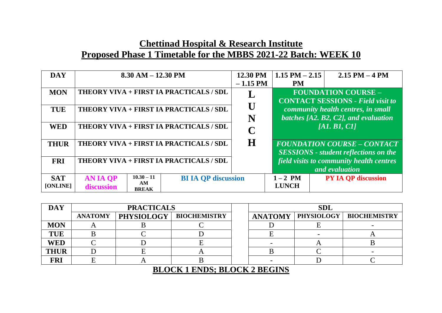| <b>DAY</b>             | $8.30$ AM $- 12.30$ PM                                              |                            | 12.30 PM   | $1.15$ PM $- 2.15$       | $2.15$ PM $-4$ PM                                                                  |
|------------------------|---------------------------------------------------------------------|----------------------------|------------|--------------------------|------------------------------------------------------------------------------------|
|                        |                                                                     |                            | $-1.15$ PM | <b>PM</b>                |                                                                                    |
| <b>MON</b>             | THEORY VIVA + FIRST IA PRACTICALS / SDL                             |                            |            |                          | <b>FOUNDATION COURSE -</b><br><b>CONTACT SESSIONS - Field visit to</b>             |
| <b>TUE</b>             | THEORY VIVA + FIRST IA PRACTICALS / SDL                             |                            |            |                          | community health centres, in small                                                 |
|                        |                                                                     |                            | N          |                          | batches $[A2, B2, C2]$ , and evaluation                                            |
| <b>WED</b>             | THEORY VIVA + FIRST IA PRACTICALS / SDL                             |                            | C          |                          | [AI, BI, CI]                                                                       |
| <b>THUR</b>            | THEORY VIVA + FIRST IA PRACTICALS / SDL                             |                            | $\bf H$    |                          | <b>FOUNDATION COURSE - CONTACT</b><br><b>SESSIONS</b> - student reflections on the |
| <b>FRI</b>             | THEORY VIVA + FIRST IA PRACTICALS / SDL                             |                            |            |                          | field visits to community health centres<br>and evaluation                         |
| <b>SAT</b><br>[ONLINE] | $10.30 - 11$<br><b>AN IA QP</b><br>AM<br>discussion<br><b>BREAK</b> | <b>BI IA OP discussion</b> |            | $1-2$ PM<br><b>LUNCH</b> | <b>PY IA OP discussion</b>                                                         |

| <b>DAY</b>                          |                | <b>PRACTICALS</b> |                     |  |                | <b>SDL</b>        |                     |  |
|-------------------------------------|----------------|-------------------|---------------------|--|----------------|-------------------|---------------------|--|
|                                     | <b>ANATOMY</b> | <b>PHYSIOLOGY</b> | <b>BIOCHEMISTRY</b> |  | <b>ANATOMY</b> | <b>PHYSIOLOGY</b> | <b>BIOCHEMISTRY</b> |  |
| <b>MON</b>                          |                |                   |                     |  |                |                   |                     |  |
| <b>TUE</b>                          |                |                   |                     |  |                |                   |                     |  |
| <b>WED</b>                          |                |                   |                     |  |                |                   |                     |  |
| <b>THUR</b>                         |                |                   |                     |  |                |                   |                     |  |
| <b>FRI</b>                          |                |                   |                     |  |                |                   |                     |  |
| <b>BLOCK 1 ENDS; BLOCK 2 BEGINS</b> |                |                   |                     |  |                |                   |                     |  |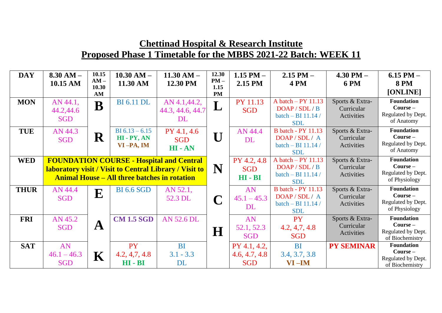| <b>DAY</b>  | $8.30 AM -$   | 10.15<br>$AM -$                                                                                           | $10.30$ AM $-$                                      | $11.30 AM -$      | 12.30<br>$PM -$ | 1.15 PM $-$   | $2.15$ PM $-$                    | $4.30$ PM $-$                 | $6.15$ PM $-$                         |
|-------------|---------------|-----------------------------------------------------------------------------------------------------------|-----------------------------------------------------|-------------------|-----------------|---------------|----------------------------------|-------------------------------|---------------------------------------|
|             | 10.15 AM      | 10.30                                                                                                     | 11.30 AM                                            | 12.30 PM          | 1.15            | 2.15 PM       | 4 PM                             | <b>6 PM</b>                   | <b>8 PM</b><br>[ONLINE]               |
|             |               | AM                                                                                                        |                                                     |                   | <b>PM</b>       |               | A batch $-$ PY 11.13             |                               | <b>Foundation</b>                     |
| <b>MON</b>  | AN 44.1,      | B                                                                                                         | <b>BI</b> 6.11 DL                                   | AN 4.1,44.2,      | L               | PY 11.13      | DOAP / SDL / B                   | Sports & Extra-<br>Curricular | $Course -$                            |
|             | 44.2,44.6     |                                                                                                           |                                                     | 44.3, 44.6, 44.7  |                 | <b>SGD</b>    | batch - BI 11.14 /               | Activities                    | Regulated by Dept.                    |
|             | <b>SGD</b>    |                                                                                                           |                                                     | DL                |                 |               | <b>SDL</b>                       |                               | of Anatomy                            |
| <b>TUE</b>  | AN 44.3       |                                                                                                           | BI $6.13 - 6.15$                                    | PY 4.1, 4.6       |                 | AN 44.4       | <b>B</b> batch - PY 11.13        | Sports & Extra-               | <b>Foundation</b>                     |
|             | <b>SGD</b>    | ${\bf R}$                                                                                                 | $HI - PY, AN$                                       | <b>SGD</b>        |                 | DL            | DOAP/SDL/A                       | Curricular                    | $Course -$<br>Regulated by Dept.      |
|             |               |                                                                                                           | $VI-PA, IM$                                         | HI-AN             |                 |               | batch - BI 11.14 /<br><b>SDL</b> | Activities                    | of Anatomy                            |
| <b>WED</b>  |               |                                                                                                           |                                                     |                   |                 | PY 4.2, 4.8   | A batch $-$ PY 11.13             | Sports & Extra-               | <b>Foundation</b>                     |
|             |               | <b>FOUNDATION COURSE - Hospital and Central</b><br>laboratory visit / Visit to Central Library / Visit to |                                                     |                   |                 | <b>SGD</b>    | DOAP / SDL / B                   | Curricular                    | Course -                              |
|             |               |                                                                                                           | <b>Animal House – All three batches in rotation</b> |                   | N               | $HI - BI$     | batch - BI 11.14 /               | Activities                    | Regulated by Dept.                    |
|             |               |                                                                                                           |                                                     |                   |                 |               | <b>SDL</b>                       |                               | of Physiology                         |
| <b>THUR</b> | AN 44.4       | E                                                                                                         | <b>BI</b> 6.6 SGD                                   | AN 52.1,          |                 | AN            | <b>B</b> batch - PY 11.13        | Sports & Extra-               | <b>Foundation</b><br>$Course -$       |
|             | <b>SGD</b>    |                                                                                                           |                                                     | 52.3 DL           | $\mathbf C$     | $45.1 - 45.3$ | DOAP/SDL/A<br>batch - BI 11.14 / | Curricular<br>Activities      | Regulated by Dept.                    |
|             |               |                                                                                                           |                                                     |                   |                 | DL            | <b>SDL</b>                       |                               | of Physiology                         |
| <b>FRI</b>  | AN 45.2       |                                                                                                           | <b>CM 1.5 SGD</b>                                   | <b>AN 52.6 DL</b> |                 | AN            | <b>PY</b>                        | Sports & Extra-               | <b>Foundation</b>                     |
|             | <b>SGD</b>    | $\mathbf{A}$                                                                                              |                                                     |                   | $\bf H$         | 52.1, 52.3    | 4.2, 4.7, 4.8                    | Curricular                    | $Course -$                            |
|             |               |                                                                                                           |                                                     |                   |                 | <b>SGD</b>    | <b>SGD</b>                       | Activities                    | Regulated by Dept.<br>of Biochemistry |
| <b>SAT</b>  | AN            |                                                                                                           | <b>PY</b>                                           | <b>BI</b>         |                 | PY 4.1, 4.2,  | <b>BI</b>                        | <b>PY SEMINAR</b>             | <b>Foundation</b>                     |
|             | $46.1 - 46.3$ | ${\bf K}$                                                                                                 | 4.2, 4.7, 4.8                                       | $3.1 - 3.3$       |                 | 4.6, 4.7, 4.8 | 3.4, 3.7, 3.8                    |                               | $Course -$<br>Regulated by Dept.      |
|             | <b>SGD</b>    |                                                                                                           | $HI - BI$                                           | <b>DL</b>         |                 | <b>SGD</b>    | $VI$ –IM                         |                               | of Biochemistry                       |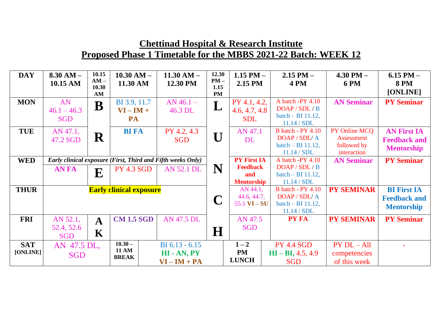| <b>DAY</b>             | $8.30 AM -$<br>10.15 AM              | 10.15<br>$AM -$   | $10.30$ AM $-$<br>11.30 AM                | $11.30 AM -$<br>12.30 PM                                    | 12.30<br>$PM -$   | 1.15 PM $-$<br>2.15 PM                      | $2.15$ PM $-$<br><b>4 PM</b>                                                    | $4.30$ PM $-$<br><b>6 PM</b>                                     | $6.15$ PM $-$<br><b>8 PM</b>                                   |
|------------------------|--------------------------------------|-------------------|-------------------------------------------|-------------------------------------------------------------|-------------------|---------------------------------------------|---------------------------------------------------------------------------------|------------------------------------------------------------------|----------------------------------------------------------------|
|                        |                                      | 10.30<br>AM       |                                           |                                                             | 1.15<br><b>PM</b> |                                             |                                                                                 |                                                                  | [ONLINE]                                                       |
| <b>MON</b>             | AN<br>$46.1 - 46.3$                  | B                 | BI 3.9, 11.7<br>$VI - IM +$               | $AN$ 46.1 –<br>46.3 DL                                      | L                 | PY 4.1, 4.2,<br>4.6, 4.7, 4.8               | A batch -PY 4.10<br>DOAP / SDL / B<br>batch $-$ BI 11.12,                       | <b>AN Seminar</b>                                                | <b>PY Seminar</b>                                              |
|                        | <b>SGD</b>                           |                   | PA                                        |                                                             |                   | <b>SDL</b>                                  | 11.14 / SDL                                                                     |                                                                  |                                                                |
| <b>TUE</b>             | AN 47.1,<br>47.2 SGD                 | $\mathbf R$       | <b>BI FA</b>                              | PY 4.2, 4.3<br><b>SGD</b>                                   | U                 | AN 47.1<br><b>DL</b>                        | <b>B</b> batch - PY 4.10<br>DOAP / SDL/ A<br>batch $-$ BI 11.12,<br>11.14 / SDL | PY Online MCQ<br><b>Assessment</b><br>followed by<br>interaction | <b>AN First IA</b><br><b>Feedback and</b><br><b>Mentorship</b> |
| <b>WED</b>             |                                      |                   |                                           | Early clinical exposure (First, Third and Fifth weeks Only) |                   | <b>PY First IA</b>                          | A batch -PY 4.10                                                                | <b>AN Seminar</b>                                                | <b>PY Seminar</b>                                              |
|                        | <b>AN FA</b>                         | ${\bf E}$         | <b>PY 4.3 SGD</b>                         | <b>AN 52.1 DL</b>                                           | N                 | <b>Feedback</b><br>and<br><b>Mentorship</b> | DOAP / SDL / B<br>batch $-$ BI 11.12,<br>11.14 / SDL                            |                                                                  |                                                                |
| <b>THUR</b>            |                                      |                   | <b>Early clinical exposure</b>            |                                                             |                   | AN 44.1,<br>44.6, 44.7,<br>$55.1$ VI $-$ SU | <b>B</b> batch - PY 4.10<br>DOAP / SDL/ A<br>batch $-$ BI 11.12,<br>11.14 / SDL | <b>PY SEMINAR</b>                                                | <b>BI</b> First IA<br><b>Feedback and</b><br><b>Mentorship</b> |
| <b>FRI</b>             | AN 52.1,<br>52.4, 52.6<br><b>SGD</b> | $\mathbf{A}$<br>K | <b>CM 1.5 SGD</b>                         | <b>AN 47.5 DL</b>                                           | $\bf H$           | AN 47.5<br><b>SGD</b>                       | <b>PY FA</b>                                                                    | <b>PY SEMINAR</b>                                                | <b>PY Seminar</b>                                              |
| <b>SAT</b><br>[ONLINE] | AN 47.5 DL,<br><b>SGD</b>            |                   | $10.30 -$<br><b>11 AM</b><br><b>BREAK</b> | $BI 6.13 - 6.15$<br>HI - AN, PY<br>$VI - IM + PA$           |                   | $1 - 2$<br><b>PM</b><br><b>LUNCH</b>        | <b>PY 4.4 SGD</b><br>$HI - BI, 4.5, 4.9$<br><b>SGD</b>                          | $PY DL - All$<br>competencies<br>of this week                    |                                                                |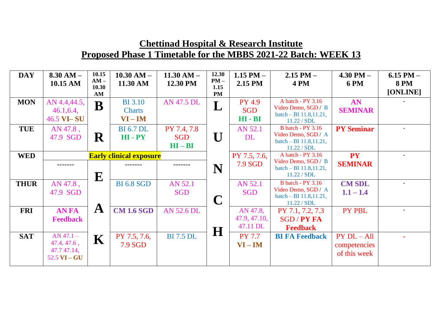| <b>DAY</b>  | $8.30 AM -$<br>10.15 AM | 10.15<br>$AM -$<br>10.30 | $10.30$ AM $-$<br>11.30 AM     | $11.30 AM -$<br>12.30 PM | 12.30<br>$PM -$<br>1.15 | 1.15 PM $-$<br>2.15 PM | $2.15$ PM $-$<br><b>4 PM</b>                    | $4.30$ PM $-$<br><b>6 PM</b> | 6.15 PM $-$<br><b>8 PM</b> |
|-------------|-------------------------|--------------------------|--------------------------------|--------------------------|-------------------------|------------------------|-------------------------------------------------|------------------------------|----------------------------|
|             |                         | AM                       |                                |                          | <b>PM</b>               |                        |                                                 |                              | [ONLINE]                   |
| <b>MON</b>  | AN 4.4,44.5,            | $\bf B$                  | <b>BI</b> 3.10                 | <b>AN 47.5 DL</b>        |                         | <b>PY 4.9</b>          | A batch - PY 3.16                               | AN                           |                            |
|             | 46.1, 6.4,              |                          | <b>Charts</b>                  |                          |                         | <b>SGD</b>             | Video Demo, SGD / B<br>batch $-$ BI 11.8,11.21, | <b>SEMINAR</b>               |                            |
|             | 46.5 VI-SU              |                          | $VI - IM$                      |                          |                         | $HI - BI$              | 11.22 / SDL                                     |                              |                            |
| <b>TUE</b>  | AN 47.8,                |                          | <b>BI</b> 6.7 DL               | PY 7.4, 7.8              |                         | AN 52.1                | <b>B</b> batch - PY 3.16                        | <b>PY Seminar</b>            |                            |
|             | 47.9 SGD                | $\mathbf R$              | HI-PY                          | <b>SGD</b>               | U                       | DL                     | Video Demo, SGD / A<br>batch - BI 11.8,11.21,   |                              |                            |
|             |                         |                          |                                | $HI - BI$                |                         |                        | 11.22 / SDL                                     |                              |                            |
| <b>WED</b>  |                         |                          | <b>Early clinical exposure</b> |                          |                         | PY 7.5, 7.6,           | A batch - PY 3.16                               | <b>PY</b>                    |                            |
|             |                         |                          |                                |                          | N                       | 7.9 SGD                | Video Demo, SGD / B<br>batch $-$ BI 11.8,11.21, | <b>SEMINAR</b>               |                            |
|             |                         | ${\bf E}$                |                                |                          |                         |                        | 11.22 / SDL                                     |                              |                            |
| <b>THUR</b> | AN 47.8,                |                          | <b>BI 6.8 SGD</b>              | AN 52.1                  |                         | AN 52.1                | <b>B</b> batch - PY 3.16                        | <b>CM SDL</b>                |                            |
|             | 47.9 SGD                |                          |                                | <b>SGD</b>               |                         | <b>SGD</b>             | Video Demo, SGD / A                             | $1.1 - 1.4$                  |                            |
|             |                         |                          |                                |                          |                         |                        | batch $-$ BI 11.8,11.21,<br>11.22 / SDL         |                              |                            |
| <b>FRI</b>  | <b>AN FA</b>            | $\mathbf{A}$             | <b>CM 1.6 SGD</b>              | <b>AN 52.6 DL</b>        |                         | AN 47.8,               | PY 7.1, 7.2, 7.3                                | PY PBL                       |                            |
|             | <b>Feedback</b>         |                          |                                |                          |                         | 47.9, 47.10,           | <b>SGD/PY FA</b>                                |                              |                            |
|             |                         |                          |                                |                          | H                       | 47.11 DL               | <b>Feedback</b>                                 |                              |                            |
| <b>SAT</b>  | $AN 47.1 -$             | K                        | PY 7.5, 7.6,                   | <b>BI</b> 7.5 DL         |                         | <b>PY 7.7</b>          | <b>BI FA Feedback</b>                           | $PY$ $DL - All$              |                            |
|             | 47.4, 47.6,             |                          | <b>7.9 SGD</b>                 |                          |                         | $VI - IM$              |                                                 | competencies                 |                            |
|             | 47.7 47.14,             |                          |                                |                          |                         |                        |                                                 | of this week                 |                            |
|             | $52.5$ VI – GU          |                          |                                |                          |                         |                        |                                                 |                              |                            |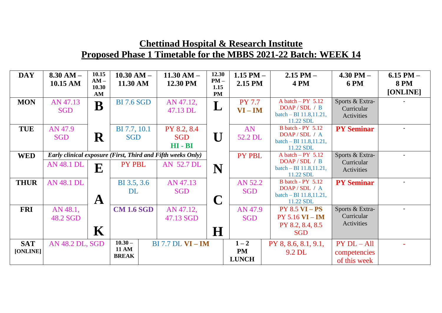| <b>DAY</b>             | $8.30 AM -$<br>10.15 AM | 10.15<br>$AM -$<br>10.30 | $10.30$ AM $-$<br>11.30 AM                                                   | $11.30 AM -$<br>12.30 PM               | 12.30<br>$PM -$<br>1.15 | 1.15 PM $-$<br>2.15 PM               | $2.15$ PM $-$<br>4 PM                                                                 | $4.30$ PM $-$<br><b>6 PM</b>                    | $6.15$ PM $-$<br><b>8 PM</b><br>[ONLINE] |
|------------------------|-------------------------|--------------------------|------------------------------------------------------------------------------|----------------------------------------|-------------------------|--------------------------------------|---------------------------------------------------------------------------------------|-------------------------------------------------|------------------------------------------|
| <b>MON</b>             | AN 47.13<br><b>SGD</b>  | AM<br>B                  | <b>BI</b> 7.6 SGD                                                            | AN 47.12,<br>47.13 DL                  | <b>PM</b><br>L          | <b>PY 7.7</b><br>$VI - IM$           | A batch $-$ PY 5.12<br>DOAP/SDL/B<br>batch – BI $11.8, 11.21$ ,<br>11.22 SDL          | Sports & Extra-<br>Curricular<br>Activities     |                                          |
| <b>TUE</b>             | AN 47.9<br><b>SGD</b>   | $\mathbf R$              | BI 7.7, 10.1<br><b>SGD</b>                                                   | PY 8.2, 8.4<br><b>SGD</b><br>$HI - BI$ | $\bf U$                 | AN<br>52.2 DL                        | <b>B</b> batch - PY 5.12<br>DOAP/SDL/A<br>batch – BI $11.8, 11.21$ ,<br>11.22 SDL     | <b>PY Seminar</b>                               |                                          |
| <b>WED</b>             | AN 48.1 DL              | ${\bf E}$                | <b>Early clinical exposure (First, Third and Fifth weeks Only)</b><br>PY PBL | AN 52.7 DL                             | N                       | <b>PY PBL</b>                        | A batch $-$ PY 5.12<br>DOAP/SDL/B<br>$batch - BI\ 11.8, 11.21,$<br>11.22 SDL          | Sports & Extra-<br>Curricular<br>Activities     |                                          |
| <b>THUR</b>            | <b>AN 48.1 DL</b>       | $\mathbf A$              | BI 3.5, 3.6<br><b>DL</b>                                                     | AN 47.13<br><b>SGD</b>                 | $\mathbf C$             | AN 52.2<br><b>SGD</b>                | <b>B</b> batch - PY 5.12<br>DOAP / SDL / A<br>batch – BI $11.8, 11.21$ ,<br>11.22 SDL | <b>PY Seminar</b>                               |                                          |
| <b>FRI</b>             | AN 48.1,<br>48.2 SGD    | $\mathbf K$              | <b>CM 1.6 SGD</b>                                                            | AN 47.12,<br>47.13 SGD                 | $\bf H$                 | AN 47.9<br><b>SGD</b>                | $PY 8.5 VI - PS$<br><b>PY 5.16 VI - IM</b><br>PY 8.2, 8.4, 8.5<br><b>SGD</b>          | Sports & Extra-<br>Curricular<br>Activities     |                                          |
| <b>SAT</b><br>[ONLINE] | AN 48.2 DL, SGD         |                          | $10.30 -$<br><b>11 AM</b><br><b>BREAK</b>                                    | <b>BI</b> 7.7 <b>DL VI</b> - <b>IM</b> |                         | $1 - 2$<br><b>PM</b><br><b>LUNCH</b> | PY 8, 8.6, 8.1, 9.1,<br>9.2 DL                                                        | $PY$ $DL - All$<br>competencies<br>of this week |                                          |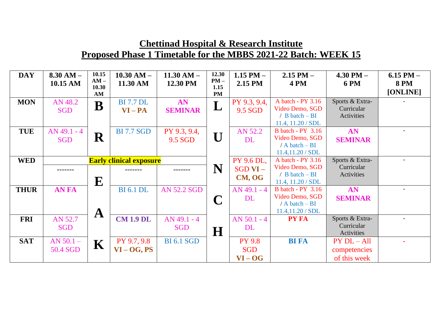| <b>DAY</b>  | $8.30 AM -$<br>10.15 AM        | 10.15<br>$AM -$<br>10.30 | $10.30$ AM $-$<br>11.30 AM           | $11.30 AM -$<br>12.30 PM    | 12.30<br>$PM -$<br>1.15 | 1.15 PM $-$<br>2.15 PM                   | $2.15$ PM $-$<br>4 PM                                                                      | $4.30$ PM $-$<br><b>6 PM</b>                  | $6.15$ PM $-$<br><b>8 PM</b> |
|-------------|--------------------------------|--------------------------|--------------------------------------|-----------------------------|-------------------------|------------------------------------------|--------------------------------------------------------------------------------------------|-----------------------------------------------|------------------------------|
|             |                                | AM                       |                                      |                             | <b>PM</b>               |                                          |                                                                                            |                                               | [ONLINE]                     |
| <b>MON</b>  | AN 48.2<br><b>SGD</b>          | $\bf{B}$                 | <b>BI</b> 7.7 <b>DL</b><br>$VI - PA$ | AN<br><b>SEMINAR</b>        | L                       | PY 9.3, 9.4,<br>9.5 SGD                  | A batch - PY 3.16<br>Video Demo, SGD<br>/ $B \text{ batch} - BI$<br>$11.4$ , $11.20 / SDL$ | Sports & Extra-<br>Curricular<br>Activities   |                              |
| <b>TUE</b>  | $AN$ 49.1 - 4<br><b>SGD</b>    | R                        | <b>BI</b> 7.7 SGD                    | PY 9.3, 9.4,<br>9.5 SGD     | U                       | AN 52.2<br><b>DL</b>                     | <b>B</b> batch - PY 3.16<br>Video Demo, SGD<br>$/ A$ batch $- BI$<br>11.4, 11.20 / SDL     | AN<br><b>SEMINAR</b>                          |                              |
| <b>WED</b>  | <b>Early clinical exposure</b> |                          |                                      |                             | PY 9.6 DL,              | A batch - PY 3.16                        | Sports & Extra-                                                                            |                                               |                              |
|             |                                | ${\bf E}$                |                                      |                             | N                       | $SGD VI -$<br>CM, OG                     | Video Demo, SGD<br>/ $B \text{ batch} - BI$<br>11.4, 11.20 / SDL                           | Curricular<br>Activities                      |                              |
| <b>THUR</b> | <b>AN FA</b>                   | $\mathbf A$              | <b>BI</b> 6.1 DL                     | <b>AN 52.2 SGD</b>          |                         | AN 49.1 - 4<br><b>DL</b>                 | <b>B</b> batch - PY 3.16<br>Video Demo, SGD<br>$/ A$ batch $- BI$<br>11.4, 11.20 / SDL     | AN<br><b>SEMINAR</b>                          | ۰.                           |
| <b>FRI</b>  | AN 52.7<br><b>SGD</b>          |                          | <b>CM 1.9 DL</b>                     | $AN$ 49.1 - 4<br><b>SGD</b> | H                       | $AN 50.1 - 4$<br><b>DL</b>               | <b>PY FA</b>                                                                               | Sports & Extra-<br>Curricular<br>Activities   |                              |
| <b>SAT</b>  | $AN 50.1 -$<br>50.4 SGD        | K                        | PY 9.7, 9.8<br>$VI - OG, PS$         | <b>BI 6.1 SGD</b>           |                         | <b>PY 9.8</b><br><b>SGD</b><br>$VI - OG$ | <b>BI FA</b>                                                                               | $PY DL - All$<br>competencies<br>of this week |                              |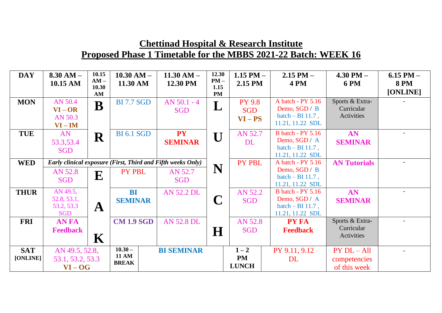| <b>DAY</b>             | $8.30 AM -$<br>10.15 AM                             | 10.15<br>$AM -$<br>10.30<br>AM | $10.30$ AM $-$<br>11.30 AM                | $11.30 AM -$<br>12.30 PM                                                             | 12.30<br>$PM -$<br>1.15<br><b>PM</b> | 1.15 PM $-$<br>2.15 PM                   | $2.15$ PM $-$<br>4 PM                                                               | $4.30$ PM $-$<br><b>6 PM</b>                    | $6.15$ PM $-$<br><b>8 PM</b><br>[ONLINE] |
|------------------------|-----------------------------------------------------|--------------------------------|-------------------------------------------|--------------------------------------------------------------------------------------|--------------------------------------|------------------------------------------|-------------------------------------------------------------------------------------|-------------------------------------------------|------------------------------------------|
| <b>MON</b>             | AN 50.4<br>$VI - OR$<br>AN 50.3<br>$VI - IM$        | B                              | <b>BI</b> 7.7 SGD                         | $AN 50.1 - 4$<br><b>SGD</b>                                                          | L                                    | <b>PY 9.8</b><br><b>SGD</b><br>$VI - PS$ | A batch - PY 5.16<br>Demo, SGD / B<br>batch $-$ BI 11.7,<br>11.21, 11.22 SDL        | Sports & Extra-<br>Curricular<br>Activities     |                                          |
| <b>TUE</b>             | AN<br>53.3,53.4<br><b>SGD</b>                       | $\mathbf R$                    | <b>BI</b> 6.1 SGD                         | <b>PY</b><br><b>SEMINAR</b>                                                          | $\mathbf{U}$                         | AN 52.7<br><b>DL</b>                     | <b>B</b> batch - PY 5.16<br>Demo, SGD / A<br>batch $-$ BI 11.7,<br>11.21, 11.22 SDL | AN<br><b>SEMINAR</b>                            |                                          |
| <b>WED</b>             | AN 52.8<br><b>SGD</b>                               | E                              | PY PBL                                    | Early clinical exposure (First, Third and Fifth weeks Only)<br>AN 52.7<br><b>SGD</b> | N                                    | PY PBL                                   | A batch - PY 5.16<br>Demo, SGD / B<br>batch $-$ BI 11.7,<br>11.21, 11.22 SDL        | <b>AN Tutorials</b>                             |                                          |
| <b>THUR</b>            | AN 49.5,<br>52.8, 53.1,<br>53.2, 53.3<br><b>SGD</b> | $\mathbf A$                    | <b>BI</b><br><b>SEMINAR</b>               | <b>AN 52.2 DL</b>                                                                    |                                      | AN 52.2<br><b>SGD</b>                    | <b>B</b> batch - PY 5.16<br>Demo, SGD / A<br>batch $-$ BI 11.7,<br>11.21, 11.22 SDL | AN<br><b>SEMINAR</b>                            |                                          |
| <b>FRI</b>             | <b>ANFA</b><br><b>Feedback</b>                      | $\mathbf K$                    | <b>CM 1.9 SGD</b>                         | <b>AN 52.8 DL</b>                                                                    | $\bf H$                              | AN 52.8<br><b>SGD</b>                    | <b>PY FA</b><br><b>Feedback</b>                                                     | Sports & Extra-<br>Curricular<br>Activities     |                                          |
| <b>SAT</b><br>[ONLINE] | AN 49.5, 52.8,<br>53.1, 53.2, 53.3<br>$VI - OG$     |                                | $10.30 -$<br><b>11 AM</b><br><b>BREAK</b> | <b>BI SEMINAR</b>                                                                    |                                      | $1 - 2$<br>PM<br><b>LUNCH</b>            | PY 9.11, 9.12<br><b>DL</b>                                                          | $PY$ $DL - All$<br>competencies<br>of this week |                                          |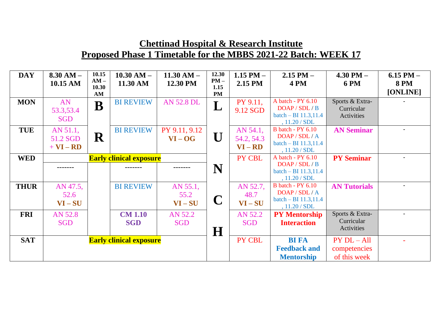| <b>DAY</b>  | $8.30 AM -$<br>10.15 AM             | 10.15<br>$AM -$<br>10.30<br>AM | $10.30$ AM $-$<br>11.30 AM     | $11.30$ AM $-$<br>12.30 PM  | 12.30<br>$PM -$<br>1.15<br><b>PM</b> | 1.15 PM $-$<br>2.15 PM              | $2.15$ PM $-$<br><b>4 PM</b>                                                           | $4.30$ PM $-$<br><b>6 PM</b>                  | $6.15$ PM $-$<br><b>8 PM</b><br>[ONLINE] |
|-------------|-------------------------------------|--------------------------------|--------------------------------|-----------------------------|--------------------------------------|-------------------------------------|----------------------------------------------------------------------------------------|-----------------------------------------------|------------------------------------------|
| <b>MON</b>  | AN<br>53.3,53.4<br><b>SGD</b>       | B                              | <b>BI REVIEW</b>               | <b>AN 52.8 DL</b>           |                                      | PY 9.11,<br>9.12 SGD                | A batch - $PY$ 6.10<br>DOAP / SDL / B<br>batch - BI $11.3, 11.4$<br>, 11.20 / SDL      | Sports & Extra-<br>Curricular<br>Activities   |                                          |
| <b>TUE</b>  | AN 51.1,<br>51.2 SGD<br>$+ VI - RD$ | $\mathbf R$                    | <b>BI REVIEW</b>               | PY 9.11, 9.12<br>$VI - OG$  | U                                    | AN 54.1,<br>54.2, 54.3<br>$VI - RD$ | <b>B</b> batch - PY 6.10<br>DOAP / SDL / A<br>batch $-$ BI 11.3,11.4<br>, 11.20 / SDL  | <b>AN Seminar</b>                             |                                          |
| <b>WED</b>  |                                     |                                | <b>Early clinical exposure</b> |                             | N                                    | PY CBL                              | A batch - PY 6.10<br>DOAP / SDL / B<br>batch $-$ BI 11.3,11.4<br>, 11.20 / SDL         | <b>PY Seminar</b>                             |                                          |
| <b>THUR</b> | AN 47.5,<br>52.6<br>$VI-SU$         |                                | <b>BI REVIEW</b>               | AN 55.1,<br>55.2<br>$VI-SU$ | $\mathbf C$                          | AN 52.7,<br>48.7<br>$VI-SU$         | <b>B</b> batch - PY 6.10<br>DOAP / SDL / A<br>batch – BI $11.3, 11.4$<br>, 11.20 / SDL | <b>AN Tutorials</b>                           |                                          |
| <b>FRI</b>  | AN 52.8<br><b>SGD</b>               |                                | <b>CM 1.10</b><br><b>SGD</b>   | AN 52.2<br><b>SGD</b>       | H                                    | AN 52.2<br><b>SGD</b>               | <b>PY Mentorship</b><br><b>Interaction</b>                                             | Sports & Extra-<br>Curricular<br>Activities   |                                          |
| <b>SAT</b>  |                                     |                                | <b>Early clinical exposure</b> |                             |                                      | PY CBL                              | <b>BI FA</b><br><b>Feedback and</b><br><b>Mentorship</b>                               | $PY DL - All$<br>competencies<br>of this week |                                          |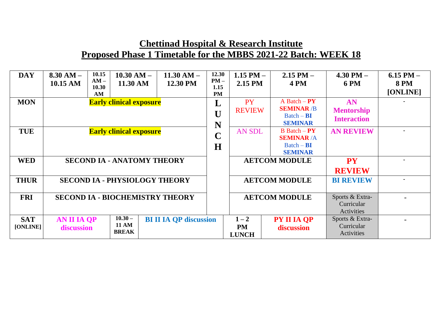| <b>DAY</b>             | $8.30 AM -$<br>10.15 AM                | 10.15<br>$AM -$<br>10.30<br>AM | $10.30 AM -$<br>11.30 AM                  |  | $11.30 AM -$<br>12.30 PM             | 12.30<br>$PM -$<br>1.15<br><b>PM</b> | 1.15 PM $-$<br>2.15 PM               | $2.15$ PM $-$<br>4PM                                                   | 4.30 PM $-$<br><b>6 PM</b>                    | 6.15 PM $-$<br><b>8 PM</b><br>[ONLINE] |
|------------------------|----------------------------------------|--------------------------------|-------------------------------------------|--|--------------------------------------|--------------------------------------|--------------------------------------|------------------------------------------------------------------------|-----------------------------------------------|----------------------------------------|
| <b>MON</b>             |                                        |                                | <b>Early clinical exposure</b>            |  |                                      | L<br>$\mathbf{U}$<br>N               | <b>PY</b><br><b>REVIEW</b>           | $A$ Batch $-PY$<br><b>SEMINAR /B</b><br>$Batch - BI$<br><b>SEMINAR</b> | AN<br><b>Mentorship</b><br><b>Interaction</b> |                                        |
| <b>TUE</b>             |                                        |                                | <b>Early clinical exposure</b>            |  |                                      | $\mathbf C$<br>H                     | <b>AN SDL</b>                        | $B$ Batch – $PY$<br><b>SEMINAR/A</b><br>$Batch - BI$<br><b>SEMINAR</b> | <b>AN REVIEW</b>                              |                                        |
| <b>WED</b>             |                                        |                                | <b>SECOND IA - ANATOMY THEORY</b>         |  |                                      |                                      |                                      | <b>AETCOM MODULE</b>                                                   | <b>PY</b><br><b>REVIEW</b>                    |                                        |
| <b>THUR</b>            |                                        |                                |                                           |  | <b>SECOND IA - PHYSIOLOGY THEORY</b> |                                      |                                      | <b>AETCOM MODULE</b>                                                   | <b>BI REVIEW</b>                              | $\blacksquare$                         |
| <b>FRI</b>             | <b>SECOND IA - BIOCHEMISTRY THEORY</b> |                                |                                           |  |                                      |                                      |                                      | <b>AETCOM MODULE</b>                                                   | Sports & Extra-<br>Curricular<br>Activities   |                                        |
| <b>SAT</b><br>[ONLINE] | <b>AN II IA QP</b><br>discussion       |                                | $10.30 -$<br><b>11 AM</b><br><b>BREAK</b> |  | <b>BI II IA QP discussion</b>        |                                      | $1 - 2$<br><b>PM</b><br><b>LUNCH</b> | PY II IA QP<br>discussion                                              | Sports & Extra-<br>Curricular<br>Activities   |                                        |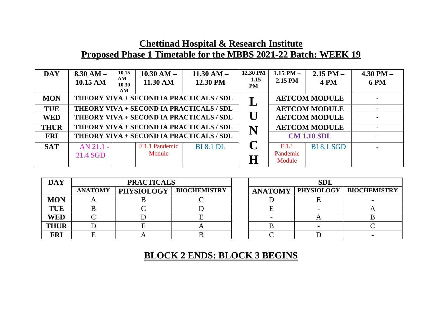| <b>DAY</b>  | $8.30 AM -$<br>10.15 AM | 10.15<br>$10.30 AM -$<br>$AM -$<br>11.30 AM<br>10.30<br>AM | $11.30 AM -$<br>12.30 PM | 12.30 PM<br>$-1.15$<br><b>PM</b> | 1.15 PM $-$<br>2.15 PM                 | $2.15$ PM $-$<br><b>4 PM</b> | 4.30 PM $-$<br><b>6 PM</b> |
|-------------|-------------------------|------------------------------------------------------------|--------------------------|----------------------------------|----------------------------------------|------------------------------|----------------------------|
| <b>MON</b>  |                         | THEORY VIVA + SECOND IA PRACTICALS / SDL                   |                          |                                  |                                        | <b>AETCOM MODULE</b>         |                            |
| <b>TUE</b>  |                         | THEORY VIVA + SECOND IA PRACTICALS / SDL                   |                          |                                  |                                        | <b>AETCOM MODULE</b>         |                            |
| <b>WED</b>  |                         | THEORY VIVA + SECOND IA PRACTICALS / SDL                   |                          | $\bf U$                          |                                        | <b>AETCOM MODULE</b>         |                            |
| <b>THUR</b> |                         | THEORY VIVA + SECOND IA PRACTICALS / SDL                   |                          | N                                |                                        | <b>AETCOM MODULE</b>         |                            |
| <b>FRI</b>  |                         | THEORY VIVA + SECOND IA PRACTICALS / SDL                   |                          |                                  |                                        | <b>CM 1.10 SDL</b>           | $\blacksquare$             |
| <b>SAT</b>  | $AN 21.1 -$<br>21.4 SGD | F 1.1 Pandemic<br>Module                                   | <b>BI</b> 8.1 <b>DL</b>  | $\Gamma$<br>H                    | F <sub>1.1</sub><br>Pandemic<br>Module | <b>BI 8.1 SGD</b>            |                            |

| <b>DAY</b>  |                | <b>PRACTICALS</b> |                     | <b>SDL</b>     |                   |                     |  |  |
|-------------|----------------|-------------------|---------------------|----------------|-------------------|---------------------|--|--|
|             | <b>ANATOMY</b> | <b>PHYSIOLOGY</b> | <b>BIOCHEMISTRY</b> | <b>ANATOMY</b> | <b>PHYSIOLOGY</b> | <b>BIOCHEMISTRY</b> |  |  |
| <b>MON</b>  |                |                   |                     |                |                   |                     |  |  |
| <b>TUE</b>  |                |                   |                     |                |                   |                     |  |  |
| <b>WED</b>  |                |                   |                     |                |                   |                     |  |  |
| <b>THUR</b> |                |                   |                     |                |                   |                     |  |  |
| FRI         |                |                   |                     |                |                   |                     |  |  |

#### **BLOCK 2 ENDS: BLOCK 3 BEGINS**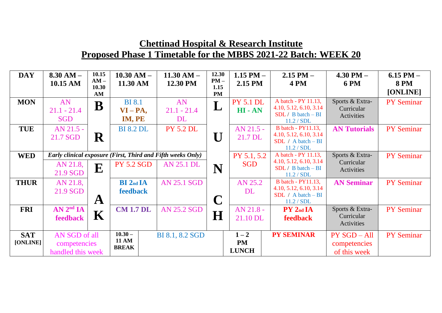| <b>DAY</b>  | $8.30 AM -$<br>10.15 AM | 10.15<br>$AM -$<br>10.30 | $10.30 AM -$<br>11.30 AM | $11.30 AM -$<br>12.30 PM                                    | 12.30<br>$PM -$<br>1.15 | 1.15 PM $-$<br>2.15 PM | $2.15$ PM $-$<br><b>4 PM</b>       | $4.30$ PM $-$<br><b>6 PM</b> | 6.15 PM $-$<br><b>8 PM</b> |
|-------------|-------------------------|--------------------------|--------------------------|-------------------------------------------------------------|-------------------------|------------------------|------------------------------------|------------------------------|----------------------------|
|             |                         | AM                       |                          |                                                             | <b>PM</b>               |                        |                                    |                              | [ONLINE]                   |
| <b>MON</b>  | AN                      | $\mathbf B$              | <b>BI</b> 8.1            | AN                                                          |                         | <b>PY 5.1 DL</b>       | A batch - PY 11.13,                | Sports & Extra-              | <b>PY Seminar</b>          |
|             | $21.1 - 21.4$           |                          | $VI-PA,$                 | $21.1 - 21.4$                                               | $\bf L$                 | $HI - AN$              | 4.10, 5.12, 6.10, 3.14             | Curricular                   |                            |
|             | <b>SGD</b>              |                          | IM, PE                   | DL                                                          |                         |                        | $SDL / B batch - BI$<br>11.2 / SDL | Activities                   |                            |
| <b>TUE</b>  | AN 21.5 -               |                          | <b>BI 8.2 DL</b>         | <b>PY 5.2 DL</b>                                            |                         | $AN$ 21.5 -            | <b>B</b> batch - PY11.13,          | <b>AN Tutorials</b>          | <b>PY Seminar</b>          |
|             | 21.7 SGD                | $\mathbf R$              |                          |                                                             | $\mathbf{I}$            | 21.7 DL                | 4.10, 5.12, 6.10, 3.14             |                              |                            |
|             |                         |                          |                          |                                                             |                         |                        | SDL / $A batch - BI$<br>11.2 / SDL |                              |                            |
| <b>WED</b>  |                         |                          |                          | Early clinical exposure (First, Third and Fifth weeks Only) |                         | PY 5.1, 5.2            | A batch - PY 11.13,                | Sports & Extra-              | <b>PY Seminar</b>          |
|             | AN 21.8,                | E                        | <b>PY 5.2 SGD</b>        | <b>AN 25.1 DL</b>                                           |                         | <b>SGD</b>             | 4.10, 5.12, 6.10, 3.14             | Curricular                   |                            |
|             | 21.9 SGD                |                          |                          |                                                             | N                       |                        | $SDL / B batch - BI$<br>11.2 / SDL | Activities                   |                            |
| <b>THUR</b> | AN 21.8,                |                          | <b>BI</b> 2nd IA         | <b>AN 25.1 SGD</b>                                          |                         | AN 25.2                | <b>B</b> batch - PY11.13,          | <b>AN Seminar</b>            | <b>PY Seminar</b>          |
|             | 21.9 SGD                |                          | feedback                 |                                                             |                         | DL                     | 4.10, 5.12, 6.10, 3.14             |                              |                            |
|             |                         | $\mathbf A$              |                          |                                                             | $\mathbf C$             |                        | $SDL / A batch - BI$<br>11.2 / SDL |                              |                            |
| <b>FRI</b>  | AN 2 <sup>nd</sup> IA   |                          | <b>CM 1.7 DL</b>         | <b>AN 25.2 SGD</b>                                          |                         | $AN 21.8 -$            | PY 2 <sub>nd</sub> IA              | Sports & Extra-              | <b>PY Seminar</b>          |
|             | feedback                | K                        |                          |                                                             | H                       | 21.10 DL               | <b>feedback</b>                    | Curricular                   |                            |
|             |                         |                          |                          |                                                             |                         |                        |                                    | Activities                   |                            |
| <b>SAT</b>  | AN SGD of all           |                          | $10.30 -$                | BI 8.1, 8.2 SGD                                             |                         | $1 - 2$                | <b>PY SEMINAR</b>                  | <b>PY SGD - All</b>          | <b>PY Seminar</b>          |
| [ONLINE]    | competencies            |                          | <b>11 AM</b>             |                                                             |                         | <b>PM</b>              |                                    | competencies                 |                            |
|             | handled this week       |                          | <b>BREAK</b>             |                                                             |                         | <b>LUNCH</b>           |                                    | of this week                 |                            |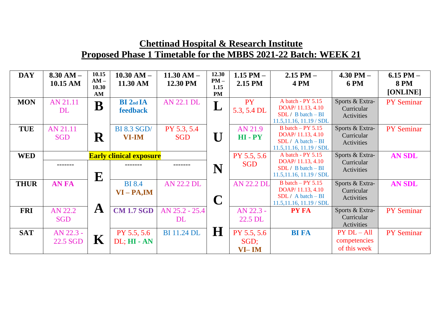| <b>DAY</b>  | $8.30 AM -$<br>10.15 AM | 10.15<br>$AM -$ | $10.30$ AM $-$<br>11.30 AM         | $11.30 AM -$<br>12.30 PM    | 12.30<br>$PM -$   | 1.15 PM $-$<br>2.15 PM       | $2.15$ PM $-$<br>4 PM                                                                      | $4.30$ PM $-$<br><b>6 PM</b>                  | 6.15 PM $-$<br><b>8 PM</b> |
|-------------|-------------------------|-----------------|------------------------------------|-----------------------------|-------------------|------------------------------|--------------------------------------------------------------------------------------------|-----------------------------------------------|----------------------------|
|             |                         | 10.30<br>AM     |                                    |                             | 1.15<br><b>PM</b> |                              |                                                                                            |                                               | [ONLINE]                   |
| <b>MON</b>  | AN 21.11<br>DL          | $\mathbf B$     | <b>BI</b> 2nd IA<br>feedback       | <b>AN 22.1 DL</b>           |                   | <b>PY</b><br>5.3, 5.4 DL     | A batch - PY 5.15<br>DOAP/ 11.13, 4.10<br>$SDL / B batch - BI$<br>11.5,11.16, 11.19 / SDL  | Sports & Extra-<br>Curricular<br>Activities   | <b>PY Seminar</b>          |
| <b>TUE</b>  | AN 21.11<br><b>SGD</b>  | $\mathbf R$     | <b>BI 8.3 SGD/</b><br><b>VI-IM</b> | PY 5.3, 5.4<br><b>SGD</b>   | U                 | AN 21.9<br>$HI - PY$         | B batch $-$ PY 5.15<br>DOAP/11.13, 4.10<br>$SDL / A batch - BI$<br>11.5,11.16, 11.19 / SDL | Sports & Extra-<br>Curricular<br>Activities   | <b>PY Seminar</b>          |
| <b>WED</b>  |                         | ${\bf E}$       | <b>Early clinical exposure</b>     |                             | N                 | PY 5.5, 5.6<br><b>SGD</b>    | A batch - PY 5.15<br>DOAP/11.13, 4.10<br>$SDL / B batch - BI$<br>11.5,11.16, 11.19 / SDL   | Sports & Extra-<br>Curricular<br>Activities   | <b>AN SDL</b>              |
| <b>THUR</b> | <b>AN FA</b>            |                 | <b>BI</b> 8.4<br>$VI-PA, IM$       | <b>AN 22.2 DL</b>           | $\mathbf C$       | <b>AN 22.2 DL</b>            | B batch $-$ PY 5.15<br>DOAP/11.13, 4.10<br>$SDL / A batch - BI$<br>11.5,11.16, 11.19 / SDL | Sports & Extra-<br>Curricular<br>Activities   | <b>AN SDL</b>              |
| <b>FRI</b>  | AN 22.2<br><b>SGD</b>   | $\mathbf A$     | <b>CM 1.7 SGD</b>                  | AN 25.2 - 25.4<br><b>DL</b> |                   | AN 22.3 -<br>22.5 DL         | <b>PY FA</b>                                                                               | Sports & Extra-<br>Curricular<br>Activities   | <b>PY Seminar</b>          |
| <b>SAT</b>  | AN 22.3 -<br>22.5 SGD   | $\mathbf K$     | PY 5.5, 5.6<br>DL; HI - AN         | <b>BI</b> 11.24 DL          | H                 | PY 5.5, 5.6<br>SGD;<br>VI-IM | <b>BI FA</b>                                                                               | $PY DL - All$<br>competencies<br>of this week | <b>PY Seminar</b>          |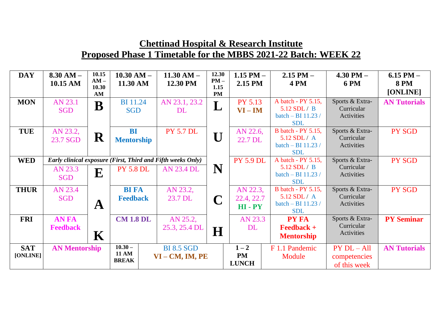| <b>DAY</b>  | $8.30 AM -$<br>10.15 AM | 10.15<br>$AM -$<br>10.30 | $10.30 AM -$<br>11.30 AM | $11.30 AM -$<br>12.30 PM                                    | 12.30<br>$PM -$<br>1.15 | 1.15 PM $-$<br>2.15 PM | $2.15$ PM $-$<br>4PM               | $4.30$ PM $-$<br><b>6 PM</b>  | $6.15$ PM $-$<br><b>8 PM</b> |
|-------------|-------------------------|--------------------------|--------------------------|-------------------------------------------------------------|-------------------------|------------------------|------------------------------------|-------------------------------|------------------------------|
|             |                         | AM                       |                          |                                                             | <b>PM</b>               |                        |                                    |                               | [ONLINE]                     |
| <b>MON</b>  | AN 23.1                 | B                        | <b>BI</b> 11.24          | AN 23.1, 23.2                                               | L                       | <b>PY 5.13</b>         | A batch - PY 5.15,                 | Sports & Extra-               | <b>AN Tutorials</b>          |
|             | <b>SGD</b>              |                          | <b>SGD</b>               | DL                                                          |                         | $VI - IM$              | 5.12 SDL / B                       | Curricular                    |                              |
|             |                         |                          |                          |                                                             |                         |                        | batch - BI 11.23 /                 | Activities                    |                              |
|             |                         |                          |                          |                                                             |                         |                        | <b>SDL</b>                         |                               |                              |
| <b>TUE</b>  | AN 23.2,                |                          | <b>BI</b>                | <b>PY 5.7 DL</b>                                            |                         | AN 22.6,               | <b>B</b> batch - PY 5.15,          | Sports & Extra-               | PY SGD                       |
|             | 23.7 SGD                | $\mathbf R$              | <b>Mentorship</b>        |                                                             | U                       | 22.7 DL                | 5.12 SDL / A                       | Curricular                    |                              |
|             |                         |                          |                          |                                                             |                         |                        | batch - BI 11.23 /                 | Activities                    |                              |
|             |                         |                          |                          |                                                             |                         |                        | <b>SDL</b>                         |                               |                              |
| <b>WED</b>  |                         |                          |                          | Early clinical exposure (First, Third and Fifth weeks Only) |                         | <b>PY 5.9 DL</b>       | A batch - PY 5.15,                 | Sports & Extra-               | <b>PY SGD</b>                |
|             | AN 23.3                 | ${\bf E}$                | <b>PY 5.8 DL</b>         | <b>AN 23.4 DL</b>                                           | N                       |                        | $5.12$ SDL / B                     | Curricular                    |                              |
|             | <b>SGD</b>              |                          |                          |                                                             |                         |                        | batch $-$ BI 11.23 /               | Activities                    |                              |
|             |                         |                          |                          |                                                             |                         |                        | <b>SDL</b>                         |                               |                              |
| <b>THUR</b> | AN 23.4                 |                          | <b>BI FA</b>             | AN 23.2,                                                    |                         | AN 22.3,               | B batch - PY 5.15,<br>5.12 SDL / A | Sports & Extra-<br>Curricular | PY SGD                       |
|             | <b>SGD</b>              |                          | <b>Feedback</b>          | 23.7 DL                                                     |                         | 22.4, 22.7             | batch - BI 11.23 /                 | Activities                    |                              |
|             |                         | $\mathbf A$              |                          |                                                             |                         | HI-PY                  | <b>SDL</b>                         |                               |                              |
| <b>FRI</b>  | <b>AN FA</b>            |                          | <b>CM 1.8 DL</b>         |                                                             |                         | AN 23.3                | <b>PY FA</b>                       | Sports & Extra-               | <b>PY Seminar</b>            |
|             |                         |                          |                          | AN 25.2,                                                    |                         |                        |                                    | Curricular                    |                              |
|             | <b>Feedback</b>         |                          |                          | 25.3, 25.4 DL                                               | $\mathbf H$             | <b>DL</b>              | $\textbf{Feedback} +$              | Activities                    |                              |
|             |                         | $\mathbf K$              |                          |                                                             |                         |                        | <b>Mentorship</b>                  |                               |                              |
| <b>SAT</b>  | <b>AN Mentorship</b>    |                          | $10.30 -$                | <b>BI 8.5 SGD</b>                                           |                         | $1 - 2$                | F 1.1 Pandemic                     | $PY DL - All$                 | <b>AN Tutorials</b>          |
| [ONLINE]    |                         |                          | <b>11 AM</b>             | $VI - CM, IM, PE$                                           |                         | <b>PM</b>              | Module                             | competencies                  |                              |
|             |                         |                          | <b>BREAK</b>             |                                                             |                         | <b>LUNCH</b>           |                                    | of this week                  |                              |
|             |                         |                          |                          |                                                             |                         |                        |                                    |                               |                              |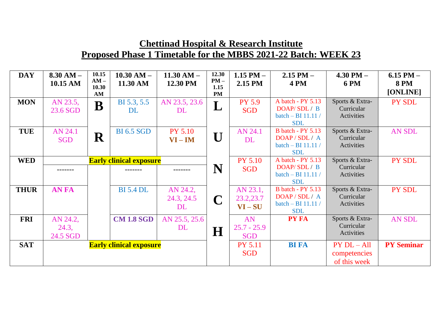| <b>DAY</b>  | $8.30 AM -$<br>10.15 AM       | 10.15<br>$AM -$<br>10.30<br>AM | $10.30$ AM $-$<br>11.30 AM                | $11.30 AM -$<br>12.30 PM     | 12.30<br>$PM -$<br>1.15<br><b>PM</b> | 1.15 PM $-$<br>2.15 PM            | $2.15$ PM $-$<br>4 PM                                                        | $4.30$ PM $-$<br><b>6 PM</b>                    | $6.15$ PM $-$<br><b>8 PM</b><br>[ONLINE] |
|-------------|-------------------------------|--------------------------------|-------------------------------------------|------------------------------|--------------------------------------|-----------------------------------|------------------------------------------------------------------------------|-------------------------------------------------|------------------------------------------|
| <b>MON</b>  | AN 23.5,<br>23.6 SGD          | B                              | BI 5.3, 5.5<br><b>DL</b>                  | AN 23.5, 23.6<br>DL          | L                                    | <b>PY 5.9</b><br><b>SGD</b>       | A batch - PY 5.13<br>DOAP/SDL/B<br>batch - BI 11.11 /<br><b>SDL</b>          | Sports & Extra-<br>Curricular<br>Activities     | PY SDL                                   |
| <b>TUE</b>  | AN 24.1<br><b>SGD</b>         | R                              | <b>BI 6.5 SGD</b>                         | <b>PY 5.10</b><br>$VI - IM$  | U                                    | AN 24.1<br><b>DL</b>              | <b>B</b> batch - PY 5.13<br>DOAP/SDL/A<br>batch $-$ BI 11.11 /<br><b>SDL</b> | Sports & Extra-<br>Curricular<br>Activities     | <b>AN SDL</b>                            |
| <b>WED</b>  | -------                       |                                | <b>Early clinical exposure</b><br>------- |                              | N                                    | <b>PY 5.10</b><br><b>SGD</b>      | A batch - PY 5.13<br>DOAP/SDL/B<br>batch - BI 11.11 /<br><b>SDL</b>          | Sports & Extra-<br>Curricular<br>Activities     | PY SDL                                   |
| <b>THUR</b> | <b>ANFA</b>                   |                                | <b>BI</b> 5.4 DL                          | AN 24.2,<br>24.3, 24.5<br>DL | $\mathbf C$                          | AN 23.1,<br>23.2,23.7<br>$VI-SU$  | <b>B</b> batch - PY 5.13<br>DOAP/SDL/A<br>batch - BI 11.11 /<br><b>SDL</b>   | Sports & Extra-<br>Curricular<br>Activities     | PY SDL                                   |
| <b>FRI</b>  | AN 24.2,<br>24.3,<br>24.5 SGD |                                | <b>CM 1.8 SGD</b>                         | AN 25.5, 25.6<br><b>DL</b>   | H                                    | AN<br>$25.7 - 25.9$<br><b>SGD</b> | <b>PY FA</b>                                                                 | Sports & Extra-<br>Curricular<br>Activities     | <b>AN SDL</b>                            |
| <b>SAT</b>  |                               |                                | <b>Early clinical exposure</b>            |                              |                                      | <b>PY 5.11</b><br><b>SGD</b>      | <b>BI FA</b>                                                                 | $PY$ $DL - All$<br>competencies<br>of this week | <b>PY Seminar</b>                        |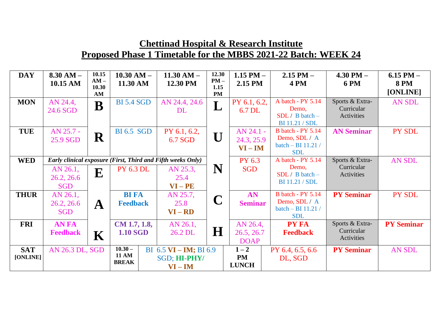| <b>DAY</b>             | $8.30 AM -$<br>10.15 AM              | 10.15<br>$AM -$<br>10.30 | $10.30$ AM $-$<br>11.30 AM                | $11.30 AM -$<br>12.30 PM                                                                     | 12.30<br>$PM -$<br>1.15   | 1.15 PM $-$<br>2.15 PM                | $2.15$ PM $-$<br><b>4 PM</b>                                                    | $4.30$ PM $-$<br><b>6 PM</b>                | $6.15$ PM $-$<br><b>8 PM</b><br>[ONLINE] |
|------------------------|--------------------------------------|--------------------------|-------------------------------------------|----------------------------------------------------------------------------------------------|---------------------------|---------------------------------------|---------------------------------------------------------------------------------|---------------------------------------------|------------------------------------------|
| <b>MON</b>             | AN 24.4,<br>24.6 SGD                 | AM<br>B                  | <b>BI 5.4 SGD</b>                         | AN 24.4, 24.6<br><b>DL</b>                                                                   | <b>PM</b><br>$\mathbf{L}$ | PY 6.1, 6.2,<br>6.7 DL                | A batch - PY 5.14<br>Demo,<br>$SDL / B batch -$<br><b>BI</b> 11.21 / <b>SDL</b> | Sports & Extra-<br>Curricular<br>Activities | AN SDL                                   |
| <b>TUE</b>             | AN 25.7 -<br>25.9 SGD                | $\mathbf R$              | <b>BI</b> 6.5 SGD                         | PY 6.1, 6.2,<br>6.7 SGD                                                                      | U                         | AN 24.1 -<br>24.3, 25.9<br>$VI - IM$  | <b>B</b> batch - PY 5.14<br>Demo, SDL / A<br>batch - BI 11.21 /<br><b>SDL</b>   | <b>AN Seminar</b>                           | <b>PY SDL</b>                            |
| <b>WED</b>             | AN 26.1,<br>26.2, 26.6<br><b>SGD</b> | ${\bf E}$                | <b>PY 6.3 DL</b>                          | Early clinical exposure (First, Third and Fifth weeks Only)<br>AN 25.3,<br>25.4<br>$VI - PE$ | N                         | PY 6.3<br><b>SGD</b>                  | A batch - PY 5.14<br>Demo,<br>$SDL / B batch -$<br><b>BI</b> 11.21 / <b>SDL</b> | Sports & Extra-<br>Curricular<br>Activities | <b>AN SDL</b>                            |
| <b>THUR</b>            | AN 26.1,<br>26.2, 26.6<br><b>SGD</b> | $\mathbf A$              | <b>BI FA</b><br><b>Feedback</b>           | AN 25.7,<br>25.8<br>$VI - RD$                                                                | $\mathbf C$               | AN<br><b>Seminar</b>                  | <b>B</b> batch - PY 5.14<br>Demo, SDL / A<br>batch $-$ BI 11.21 /<br><b>SDL</b> | <b>PY Seminar</b>                           | PY SDL                                   |
| <b>FRI</b>             | <b>AN FA</b><br><b>Feedback</b>      | K                        | $CM$ 1.7, 1.8,<br><b>1.10 SGD</b>         | AN 26.1,<br>26.2 DL                                                                          | $\bf H$                   | AN 26.4,<br>26.5, 26.7<br><b>DOAP</b> | <b>PY FA</b><br><b>Feedback</b>                                                 | Sports & Extra-<br>Curricular<br>Activities | <b>PY Seminar</b>                        |
| <b>SAT</b><br>[ONLINE] | AN 26.3 DL, SGD                      |                          | $10.30 -$<br><b>11 AM</b><br><b>BREAK</b> | BI 6.5 $VI$ – IM; BI 6.9<br>SGD; HI-PHY/<br>$VI - IM$                                        |                           | $1 - 2$<br><b>PM</b><br><b>LUNCH</b>  | PY 6.4, 6.5, 6.6<br>DL, SGD                                                     | <b>PY Seminar</b>                           | <b>AN SDL</b>                            |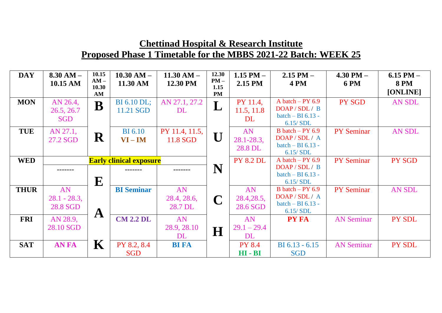| <b>DAY</b>  | $8.30 AM -$<br>10.15 AM | 10.15<br>$AM -$ | $10.30 AM -$<br>11.30 AM       | $11.30 AM -$<br>12.30 PM | 12.30<br>$PM -$ | 1.15 PM $-$<br>2.15 PM | $2.15$ PM $-$<br><b>4 PM</b>          | $4.30$ PM $-$<br><b>6 PM</b> | 6.15 PM $-$<br><b>8 PM</b> |
|-------------|-------------------------|-----------------|--------------------------------|--------------------------|-----------------|------------------------|---------------------------------------|------------------------------|----------------------------|
|             |                         | 10.30<br>AM     |                                |                          | 1.15<br>PM      |                        |                                       |                              | [ONLINE]                   |
| <b>MON</b>  | AN 26.4,                | B               | BI 6.10 DL;                    | AN 27.1, 27.2            | $\mathbf L$     | PY 11.4.               | A batch $-$ PY 6.9                    | PY SGD                       | <b>AN SDL</b>              |
|             | 26.5, 26.7              |                 | 11.21 SGD                      | DL                       |                 | 11.5, 11.8             | DOAP / SDL / B<br>batch $-$ BI 6.13 - |                              |                            |
|             | <b>SGD</b>              |                 |                                |                          |                 | DL                     | 6.15/SDL                              |                              |                            |
| <b>TUE</b>  | AN 27.1,                |                 | <b>BI</b> 6.10                 | PY 11.4, 11.5,           |                 | AN                     | B batch $-$ PY 6.9                    | <b>PY Seminar</b>            | <b>AN SDL</b>              |
|             | 27.2 SGD                | ${\bf R}$       | $VI - IM$                      | 11.8 SGD                 | U               | $28.1 - 28.3$ ,        | DOAP / SDL / A<br>batch $-$ BI 6.13 - |                              |                            |
|             |                         |                 |                                |                          |                 | 28.8 DL                | 6.15/SDL                              |                              |                            |
| <b>WED</b>  |                         |                 | <b>Early clinical exposure</b> |                          |                 | <b>PY 8.2 DL</b>       | A batch $-$ PY 6.9                    | <b>PY Seminar</b>            | PY SGD                     |
|             |                         |                 |                                |                          | N               |                        | DOAP / SDL / B                        |                              |                            |
|             |                         | ${\bf E}$       |                                |                          |                 |                        | batch $-$ BI 6.13 -<br>6.15/SDL       |                              |                            |
| <b>THUR</b> | AN                      |                 | <b>BI</b> Seminar              | AN                       |                 | AN                     | B batch $-$ PY 6.9                    | <b>PY Seminar</b>            | <b>AN SDL</b>              |
|             | $28.1 - 28.3$ ,         |                 |                                | 28.4, 28.6,              | $\mathbf C$     | 28.4, 28.5,            | DOAP/SDL/A                            |                              |                            |
|             | 28.8 SGD                | $\mathbf A$     |                                | 28.7 DL                  |                 | 28.6 SGD               | batch $-$ BI 6.13 -<br>6.15/SDL       |                              |                            |
| <b>FRI</b>  | AN 28.9,                |                 | <b>CM 2.2 DL</b>               | AN                       |                 | AN                     | <b>PY FA</b>                          | <b>AN Seminar</b>            | PY SDL                     |
|             | 28.10 SGD               |                 |                                | 28.9, 28.10              | H               | $29.1 - 29.4$          |                                       |                              |                            |
|             |                         |                 |                                | DL                       |                 | DL                     |                                       |                              |                            |
| <b>SAT</b>  | <b>ANFA</b>             | $\mathbf K$     | PY 8.2, 8.4                    | <b>BI FA</b>             |                 | <b>PY 8.4</b>          | $BI 6.13 - 6.15$                      | <b>AN Seminar</b>            | PY SDL                     |
|             |                         |                 | <b>SGD</b>                     |                          |                 | $HI - BI$              | <b>SGD</b>                            |                              |                            |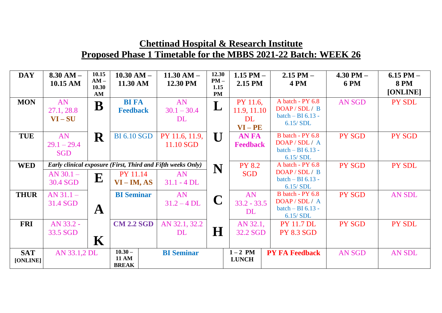| <b>DAY</b>  | $8.30 AM -$<br>10.15 AM | 10.15<br>$AM -$<br>10.30 | $10.30$ AM $-$<br>11.30 AM                                  | $11.30 AM -$<br>12.30 PM | 12.30<br>$PM -$<br>1.15 | 1.15 PM $-$<br>2.15 PM | $2.15$ PM $-$<br><b>4 PM</b>      | $4.30$ PM $-$<br><b>6 PM</b> | 6.15 PM $-$<br><b>8 PM</b> |
|-------------|-------------------------|--------------------------|-------------------------------------------------------------|--------------------------|-------------------------|------------------------|-----------------------------------|------------------------------|----------------------------|
|             |                         | AM                       |                                                             |                          | <b>PM</b>               |                        |                                   |                              | [ONLINE]                   |
| <b>MON</b>  | AN                      | $\mathbf B$              | <b>BI FA</b>                                                | AN                       | L                       | PY 11.6,               | A batch - PY 6.8                  | <b>AN SGD</b>                | PY SDL                     |
|             | 27.1, 28.8              |                          | <b>Feedback</b>                                             | $30.1 - 30.4$            |                         | 11.9, 11.10            | DOAP / SDL / B                    |                              |                            |
|             | $VI-SU$                 |                          |                                                             | DL                       |                         | <b>DL</b>              | batch $-$ BI 6.13 -<br>6.15/SDL   |                              |                            |
|             |                         |                          |                                                             |                          |                         | $VI - PE$              |                                   |                              |                            |
| <b>TUE</b>  | AN                      | $\mathbf R$              | <b>BI 6.10 SGD</b>                                          | PY 11.6, 11.9,           | $\mathbf{U}$            | <b>AN FA</b>           | B batch - PY 6.8                  | PY SGD                       | PY SGD                     |
|             | $29.1 - 29.4$           |                          |                                                             | 11.10 SGD                |                         | <b>Feedback</b>        | DOAP/SDL/A<br>batch $-$ BI 6.13 - |                              |                            |
|             | <b>SGD</b>              |                          |                                                             |                          |                         |                        | 6.15/SDL                          |                              |                            |
| <b>WED</b>  |                         |                          | Early clinical exposure (First, Third and Fifth weeks Only) |                          |                         | <b>PY 8.2</b>          | A batch - PY 6.8                  | PY SGD                       | <b>PY SDL</b>              |
|             | $AN$ 30.1 $-$           |                          | PY 11.14                                                    | <b>AN</b>                | N                       | <b>SGD</b>             | DOAP / SDL / B                    |                              |                            |
|             | 30.4 SGD                | E                        | $VI - IM, AS$                                               | $31.1 - 4$ DL            |                         |                        | batch $-$ BI 6.13 -               |                              |                            |
| <b>THUR</b> | $AN 31.1 -$             |                          | <b>BI</b> Seminar                                           | AN                       |                         | AN                     | 6.15/SDL<br>B batch - PY 6.8      | <b>PY SGD</b>                | <b>AN SDL</b>              |
|             | 31.4 SGD                |                          |                                                             | $31.2 - 4$ DL            | $\mathbf C$             | $33.2 - 33.5$          | DOAP / SDL / A                    |                              |                            |
|             |                         | $\mathbf{A}$             |                                                             |                          |                         | DL                     | batch $-$ BI 6.13 -               |                              |                            |
|             |                         |                          |                                                             |                          |                         |                        | 6.15/SDL                          |                              |                            |
| <b>FRI</b>  | AN 33.2 -               |                          | <b>CM 2.2 SGD</b>                                           | AN 32.1, 32.2            |                         | AN 32.1,               | <b>PY 11.7 DL</b>                 | <b>PY SGD</b>                | PY SDL                     |
|             | 33.5 SGD                |                          |                                                             | DL                       | $\bf H$                 | 32.2 SGD               | <b>PY 8.3 SGD</b>                 |                              |                            |
|             |                         | $\mathbf K$              |                                                             |                          |                         |                        |                                   |                              |                            |
| <b>SAT</b>  | AN 33.1,2 DL            |                          | $10.30 -$                                                   | <b>BI</b> Seminar        |                         | $1-2$ PM               | <b>PY FA Feedback</b>             | <b>AN SGD</b>                | <b>AN SDL</b>              |
| [ONLINE]    |                         |                          | <b>11 AM</b><br><b>BREAK</b>                                |                          |                         | <b>LUNCH</b>           |                                   |                              |                            |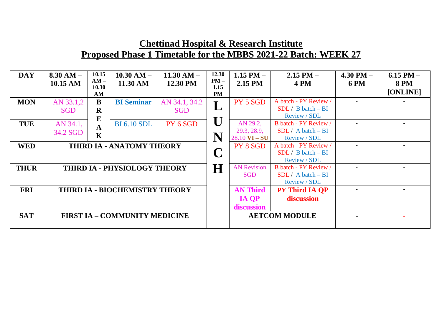| <b>DAY</b>  | $8.30 AM -$<br>10.15 AM | 10.15<br>$AM -$<br>10.30<br>AM  | $10.30 AM -$<br>11.30 AM             | $11.30 AM -$<br>12.30 PM    | 12.30<br>$PM -$<br>1.15<br>PM | 1.15 PM $-$<br>2.15 PM                                    | $2.15$ PM $-$<br><b>4 PM</b>                                  | 4.30 PM $-$<br><b>6 PM</b> | $6.15$ PM $-$<br><b>8 PM</b><br>[ONLINE] |
|-------------|-------------------------|---------------------------------|--------------------------------------|-----------------------------|-------------------------------|-----------------------------------------------------------|---------------------------------------------------------------|----------------------------|------------------------------------------|
| <b>MON</b>  | AN 33.1,2<br><b>SGD</b> | B<br>$\mathbf R$                | <b>BI</b> Seminar                    | AN 34.1, 34.2<br><b>SGD</b> |                               | PY 5 SGD                                                  | A batch - PY Review /<br>$SDL / B batch - BI$<br>Review / SDL |                            |                                          |
| <b>TUE</b>  | AN 34.1,<br>34.2 SGD    | E<br>$\mathbf A$<br>$\mathbf K$ | <b>BI</b> 6.10 SDL                   | PY 6 SGD                    | N                             | AN 29.2,<br>29.3, 28.9,<br>$28.10 \text{ VI} - \text{SU}$ | B batch - PY Review /<br>$SDL / A batch - BI$<br>Review / SDL |                            |                                          |
| <b>WED</b>  |                         |                                 | <b>THIRD IA - ANATOMY THEORY</b>     |                             |                               | PY 8 SGD                                                  | A batch - PY Review /<br>$SDL / B batch - BI$<br>Review / SDL |                            |                                          |
| <b>THUR</b> |                         |                                 | THIRD IA - PHYSIOLOGY THEORY         |                             | H                             | <b>AN Revision</b><br><b>SGD</b>                          | B batch - PY Review /<br>$SDL / A batch - BI$<br>Review / SDL |                            |                                          |
| <b>FRI</b>  |                         |                                 | THIRD IA - BIOCHEMISTRY THEORY       |                             |                               | <b>AN Third</b><br><b>IA OP</b><br>discussion             | <b>PY Third IA QP</b><br>discussion                           |                            |                                          |
| <b>SAT</b>  |                         |                                 | <b>FIRST IA - COMMUNITY MEDICINE</b> |                             |                               |                                                           | <b>AETCOM MODULE</b>                                          |                            |                                          |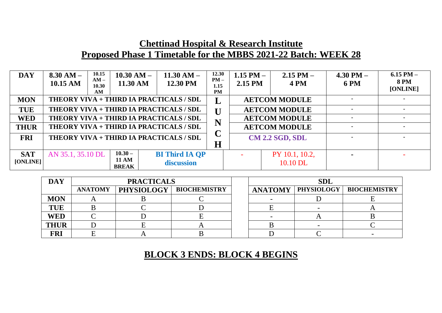| <b>DAY</b>  | $8.30 AM -$<br>10.15 AM | 10.15<br>$10.30 AM -$<br>$AM -$<br>11.30 AM<br>10.30<br>AM | $11.30 AM -$<br>12.30 PM                | 12.30<br>$PM -$<br>1.15<br>PM | 1.15 PM $-$<br>2.15 PM | $2.15$ PM $-$<br><b>4 PM</b> | $4.30$ PM $-$<br><b>6 PM</b> | 6.15 PM $-$<br><b>8 PM</b><br>[ONLINE] |
|-------------|-------------------------|------------------------------------------------------------|-----------------------------------------|-------------------------------|------------------------|------------------------------|------------------------------|----------------------------------------|
| <b>MON</b>  |                         |                                                            | THEORY VIVA + THIRD IA PRACTICALS / SDL | ┻                             |                        | <b>AETCOM MODULE</b>         |                              |                                        |
| <b>TUE</b>  |                         |                                                            | THEORY VIVA + THIRD IA PRACTICALS / SDL | U                             |                        | <b>AETCOM MODULE</b>         |                              |                                        |
| <b>WED</b>  |                         |                                                            | THEORY VIVA + THIRD IA PRACTICALS / SDL | N                             |                        | <b>AETCOM MODULE</b>         |                              |                                        |
| <b>THUR</b> |                         |                                                            | THEORY VIVA + THIRD IA PRACTICALS / SDL | ⌒                             |                        | <b>AETCOM MODULE</b>         |                              |                                        |
| <b>FRI</b>  |                         |                                                            | THEORY VIVA + THIRD IA PRACTICALS / SDL |                               |                        | <b>CM 2.2 SGD, SDL</b>       |                              |                                        |
|             |                         |                                                            |                                         | $\bf H$                       |                        |                              |                              |                                        |
| <b>SAT</b>  | AN 35.1, 35.10 DL       | $10.30 -$                                                  | <b>BI Third IA OP</b>                   |                               |                        | PY 10.1, 10.2,               |                              |                                        |
| [ONLINE]    |                         | <b>11 AM</b><br><b>BREAK</b>                               | discussion                              |                               |                        | 10.10 DL                     |                              |                                        |

| <b>DAY</b>  |                | <b>PRACTICALS</b> |                                  | <b>SDL</b> |  |                                            |  |  |
|-------------|----------------|-------------------|----------------------------------|------------|--|--------------------------------------------|--|--|
|             | <b>ANATOMY</b> |                   | <b>PHYSIOLOGY   BIOCHEMISTRY</b> |            |  | <b>ANATOMY   PHYSIOLOGY   BIOCHEMISTRY</b> |  |  |
| <b>MON</b>  |                |                   |                                  |            |  |                                            |  |  |
| <b>TUE</b>  |                |                   |                                  |            |  |                                            |  |  |
| <b>WED</b>  |                |                   |                                  |            |  |                                            |  |  |
| <b>THUR</b> |                |                   |                                  |            |  |                                            |  |  |
| FRI         |                |                   |                                  |            |  |                                            |  |  |

#### **BLOCK 3 ENDS: BLOCK 4 BEGINS**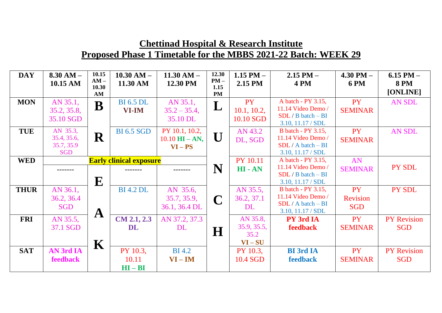| <b>DAY</b>  | $8.30 AM -$<br>10.15 AM | 10.15<br>$AM -$<br>10.30 | $10.30$ AM $-$<br>11.30 AM     | $11.30 AM -$<br>12.30 PM        | 12.30<br>$PM -$<br>1.15 | $1.15$ PM $-$<br>2.15 PM | $2.15$ PM $-$<br><b>4 PM</b>              | $4.30$ PM $-$<br><b>6 PM</b> | $6.15$ PM $-$<br><b>8 PM</b> |
|-------------|-------------------------|--------------------------|--------------------------------|---------------------------------|-------------------------|--------------------------|-------------------------------------------|------------------------------|------------------------------|
|             |                         | AM                       |                                |                                 | <b>PM</b>               |                          |                                           |                              | [ONLINE]                     |
| <b>MON</b>  | AN 35.1,                | $\overline{\mathbf{B}}$  | <b>BI</b> 6.5 DL               | AN 35.1,                        | L                       | <b>PY</b>                | A batch - PY 3.15,                        | <b>PY</b>                    | <b>AN SDL</b>                |
|             | 35.2, 35.8,             |                          | <b>VI-IM</b>                   | $35.2 - 35.4$ ,                 |                         | 10.1, 10.2,              | 11.14 Video Demo /                        | <b>SEMINAR</b>               |                              |
|             | 35.10 SGD               |                          |                                | 35.10 DL                        |                         | 10.10 SGD                | $SDL / B$ batch $-BI$                     |                              |                              |
| <b>TUE</b>  | AN 35.3,                |                          | <b>BI 6.5 SGD</b>              | PY 10.1, 10.2,                  |                         | AN 43.2                  | 3.10, 11.17 / SDL<br>B batch - PY 3.15,   | <b>PY</b>                    | <b>AN SDL</b>                |
|             | 35.4, 35.6,             | R                        |                                | $10.10 \text{ HI} - \text{AN},$ |                         |                          | 11.14 Video Demo /                        |                              |                              |
|             | 35.7, 35.9              |                          |                                | $VI - PS$                       |                         | DL, SGD                  | $SDL / A batch - BI$                      | <b>SEMINAR</b>               |                              |
|             | <b>SGD</b>              |                          |                                |                                 |                         |                          | 3.10, 11.17 / SDL                         |                              |                              |
| <b>WED</b>  |                         |                          | <b>Early clinical exposure</b> |                                 |                         | <b>PY 10.11</b>          | A batch - PY 3.15,                        | AN                           |                              |
|             | -------                 |                          |                                |                                 | N                       | HI-AN                    | 11.14 Video Demo /                        | <b>SEMINAR</b>               | PY SDL                       |
|             |                         |                          |                                |                                 |                         |                          | $SDL / B$ batch $-BI$                     |                              |                              |
|             |                         | ${\bf E}$                |                                |                                 |                         |                          | 3.10, 11.17 / SDL                         |                              |                              |
| <b>THUR</b> | AN 36.1,                |                          | <b>BI</b> 4.2 DL               | AN 35.6,                        |                         | AN 35.5,                 | B batch - PY 3.15,                        | <b>PY</b>                    | PY SDL                       |
|             | 36.2, 36.4              |                          |                                | 35.7, 35.9,                     | $\mathbf C$             | 36.2, 37.1               | 11.14 Video Demo /                        | <b>Revision</b>              |                              |
|             | <b>SGD</b>              | $\mathbf A$              |                                | 36.1, 36.4 DL                   |                         | DL                       | $SDL / A batch - BI$<br>3.10, 11.17 / SDL | <b>SGD</b>                   |                              |
| <b>FRI</b>  | AN 35.5,                |                          | $CM$ 2.1, 2.3                  | AN 37.2, 37.3                   |                         | AN 35.8,                 | <b>PY 3rd IA</b>                          | <b>PY</b>                    | <b>PY Revision</b>           |
|             | 37.1 SGD                |                          | DL                             | DL                              |                         | 35.9, 35.5,              | <b>feedback</b>                           | <b>SEMINAR</b>               | <b>SGD</b>                   |
|             |                         |                          |                                |                                 | $\bf H$                 | 35.2                     |                                           |                              |                              |
|             |                         | $\mathbf K$              |                                |                                 |                         | $VI-SU$                  |                                           |                              |                              |
| <b>SAT</b>  | <b>AN 3rd IA</b>        |                          | PY 10.3,                       | <b>BI</b> 4.2                   |                         | PY 10.3,                 | <b>BI</b> 3rd IA                          | <b>PY</b>                    | <b>PY Revision</b>           |
|             | feedback                |                          | 10.11                          | $VI - IM$                       |                         | 10.4 SGD                 | feedback                                  | <b>SEMINAR</b>               | <b>SGD</b>                   |
|             |                         |                          | $HI - BI$                      |                                 |                         |                          |                                           |                              |                              |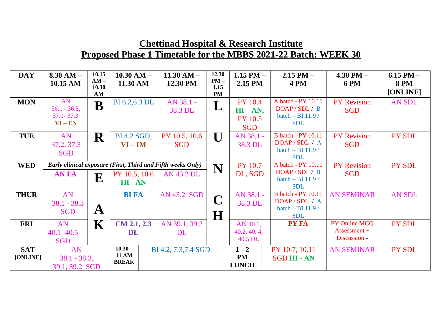| <b>DAY</b>  | $8.30 AM -$<br>10.15 AM | 10.15<br>$AM -$<br>10.30 | $10.30 AM -$<br>11.30 AM | $11.30 AM -$<br>12.30 PM                                    | 12.30<br>$PM -$<br>1.15 | 1.15 PM $-$<br>2.15 PM | $2.15$ PM $-$<br><b>4 PM</b>      | $4.30$ PM $-$<br><b>6 PM</b> | $6.15$ PM $-$<br><b>8 PM</b> |
|-------------|-------------------------|--------------------------|--------------------------|-------------------------------------------------------------|-------------------------|------------------------|-----------------------------------|------------------------------|------------------------------|
|             |                         | AM                       |                          |                                                             | <b>PM</b>               |                        |                                   |                              | [ONLINE]                     |
| <b>MON</b>  | AN                      | B                        | BI 6.2,6.3 DL            | AN 38.1 -                                                   | L                       | <b>PY 10.4</b>         | A batch - PY 10.11                | <b>PY</b> Revision           | <b>AN SDL</b>                |
|             | $36.1 - 36.5$ ,         |                          |                          | 38.3 DL                                                     |                         | $HI - AN$ ,            | DOAP / SDL / B                    | <b>SGD</b>                   |                              |
|             | $37.1 - 37.3$           |                          |                          |                                                             |                         | <b>PY 10.5</b>         | batch $-$ BI 11.9 /               |                              |                              |
|             | $VI - EN$               |                          |                          |                                                             |                         | <b>SGD</b>             | <b>SDL</b>                        |                              |                              |
| <b>TUE</b>  | AN                      | ${\bf R}$                | BI 4.2 SGD,              | PY 10.5, 10.6                                               | $\mathbf I$ ]           | AN 38.1 -              | <b>B</b> batch - PY 10.11         | <b>PY Revision</b>           | PY SDL                       |
|             | 37.2, 37.3              |                          | $VI - IM$                | <b>SGD</b>                                                  |                         | 38.3 DL                | DOAP / SDL / A                    | <b>SGD</b>                   |                              |
|             | <b>SGD</b>              |                          |                          |                                                             |                         |                        | batch - BI 11.9 /                 |                              |                              |
|             |                         |                          |                          |                                                             |                         |                        | <b>SDL</b>                        |                              |                              |
| <b>WED</b>  |                         |                          |                          | Early clinical exposure (First, Third and Fifth weeks Only) | N                       | <b>PY 10.7</b>         | A batch - PY 10.11                | <b>PY Revision</b>           | PY SDL                       |
|             | <b>ANFA</b>             | ${\bf E}$                | PY 10.5, 10.6            | <b>AN 43.2 DL</b>                                           |                         | DL, SGD                | DOAP / SDL / B                    | <b>SGD</b>                   |                              |
|             |                         |                          | HI-AN                    |                                                             |                         |                        | batch $-$ BI 11.9 /<br><b>SDL</b> |                              |                              |
| <b>THUR</b> | AN                      |                          | <b>BI FA</b>             | AN 43.2 SGD                                                 | $\mathbf{\Omega}$       | AN 38.1 -              | <b>B</b> batch - PY 10.11         | <b>AN SEMINAR</b>            | <b>AN SDL</b>                |
|             | $38.1 - 38.3$           |                          |                          |                                                             |                         | 38.3 DL                | DOAP/SDL/A                        |                              |                              |
|             | <b>SGD</b>              | $\mathbf{A}$             |                          |                                                             |                         |                        | batch - BI 11.9 /                 |                              |                              |
|             |                         |                          |                          |                                                             | $\bf H$                 |                        | <b>SDL</b>                        |                              |                              |
| <b>FRI</b>  | AN                      | $\mathbf K$              | $CM$ 2.1, 2.3            | AN 39.1, 39.2                                               |                         | AN 40.1,               | <b>PY FA</b>                      | PY Online MCQ                | PY SDL                       |
|             | $40.1 - 40.5$           |                          | DL                       | <b>DL</b>                                                   |                         | 40.2, 40.4,            |                                   | $Assessment +$               |                              |
|             | <b>SGD</b>              |                          |                          |                                                             |                         | 40.5 DL                |                                   | Discussion -                 |                              |
| <b>SAT</b>  | AN                      |                          | $10.30 -$                | BI 4.2, 7.3,7.4 SGD                                         |                         | $1 - 2$                | PY 10.7, 10.11                    | <b>AN SEMINAR</b>            | <b>PY SDL</b>                |
| [ONLINE]    | $38.1 - 38.3,$          |                          | <b>11 AM</b>             |                                                             |                         | <b>PM</b>              | <b>SGD HI - AN</b>                |                              |                              |
|             | 39.1, 39.2 SGD          |                          | <b>BREAK</b>             |                                                             |                         | <b>LUNCH</b>           |                                   |                              |                              |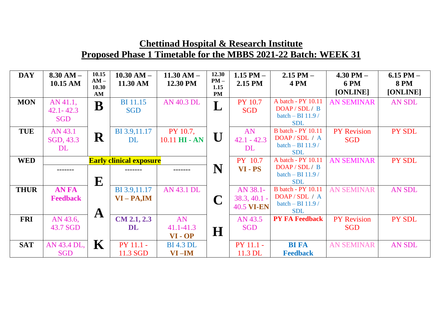| <b>DAY</b>  | $8.30 AM -$     | 10.15<br>$AM -$ | $10.30$ AM $-$                 | $11.30 AM -$      | 12.30<br>$PM -$ | 1.15 PM $-$         | $2.15$ PM $-$                           | $4.30$ PM $-$           | $6.15$ PM $-$           |
|-------------|-----------------|-----------------|--------------------------------|-------------------|-----------------|---------------------|-----------------------------------------|-------------------------|-------------------------|
|             | 10.15 AM        | 10.30           | 11.30 AM                       | 12.30 PM          | 1.15            | 2.15 PM             | <b>4 PM</b>                             | <b>6 PM</b><br>[ONLINE] | <b>8 PM</b><br>[ONLINE] |
| <b>MON</b>  | AN 41.1,        | AM<br>$\bf B$   | <b>BI</b> 11.15                | AN 40.3 DL        | <b>PM</b><br>L  | <b>PY 10.7</b>      | A batch - PY 10.11                      | <b>AN SEMINAR</b>       | <b>AN SDL</b>           |
|             | $42.1 - 42.3$   |                 | <b>SGD</b>                     |                   |                 | <b>SGD</b>          | DOAP / SDL / B<br>batch $-$ BI 11.9 /   |                         |                         |
|             | <b>SGD</b>      |                 |                                |                   |                 |                     | <b>SDL</b>                              |                         |                         |
| <b>TUE</b>  | AN 43.1         | ${\bf R}$       | BI 3.9,11.17                   | PY 10.7,          | U               | AN                  | <b>B</b> batch - PY 10.11<br>DOAP/SDL/A | <b>PY</b> Revision      | PY SDL                  |
|             | SGD, 43.3<br>DL |                 | <b>DL</b>                      | $10.11$ HI - AN   |                 | $42.1 - 42.3$<br>DL | batch $-$ BI 11.9 /                     | <b>SGD</b>              |                         |
|             |                 |                 |                                |                   |                 |                     | <b>SDL</b>                              |                         |                         |
| <b>WED</b>  |                 |                 | <b>Early clinical exposure</b> |                   |                 | PY 10.7             | A batch - PY 10.11                      | <b>AN SEMINAR</b>       | PY SDL                  |
|             |                 |                 | -------                        |                   | N               | VI - PS             | DOAP / SDL / B<br>batch - BI 11.9 /     |                         |                         |
|             |                 | ${\bf E}$       |                                |                   |                 |                     | <b>SDL</b>                              |                         |                         |
| <b>THUR</b> | <b>ANFA</b>     |                 | BI 3.9,11.17                   | <b>AN 43.1 DL</b> |                 | AN 38.1-            | <b>B</b> batch - PY 10.11               | <b>AN SEMINAR</b>       | <b>AN SDL</b>           |
|             | <b>Feedback</b> |                 | $VI - PA, IM$                  |                   | $\mathbf C$     | $38.3, 40.1 -$      | DOAP/SDL/A<br>batch - BI 11.9 /         |                         |                         |
|             |                 | $\mathbf A$     |                                |                   |                 | <b>40.5 VI-EN</b>   | <b>SDL</b>                              |                         |                         |
| <b>FRI</b>  | AN 43.6,        |                 | CM 2.1, 2.3                    | AN                |                 | AN 43.5             | <b>PY FA Feedback</b>                   | <b>PY Revision</b>      | PY SDL                  |
|             | 43.7 SGD        |                 | <b>DL</b>                      | $41.1 - 41.3$     | $\bf H$         | <b>SGD</b>          |                                         | <b>SGD</b>              |                         |
|             |                 |                 |                                | VI-OP             |                 |                     |                                         |                         |                         |
| <b>SAT</b>  | AN 43.4 DL,     | $\mathbf K$     | PY 11.1 -                      | <b>BI</b> 4.3 DL  |                 | PY 11.1 -           | <b>BI FA</b>                            | <b>AN SEMINAR</b>       | <b>AN SDL</b>           |
|             | <b>SGD</b>      |                 | 11.3 SGD                       | $VI$ – $IM$       |                 | 11.3 DL             | <b>Feedback</b>                         |                         |                         |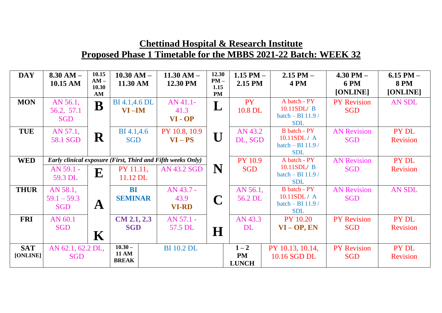| <b>DAY</b>             | $8.30 AM -$<br>10.15 AM                 | 10.15<br>$AM -$<br>10.30 | $10.30 AM -$<br>11.30 AM                                                             | $11.30 AM -$<br>12.30 PM          | 12.30<br>$PM -$<br>1.15 | 1.15 PM $-$<br>2.15 PM               | $2.15$ PM $-$<br><b>4 PM</b>                                         | $4.30$ PM $-$<br><b>6 PM</b>     | $6.15$ PM $-$<br><b>8 PM</b> |
|------------------------|-----------------------------------------|--------------------------|--------------------------------------------------------------------------------------|-----------------------------------|-------------------------|--------------------------------------|----------------------------------------------------------------------|----------------------------------|------------------------------|
|                        |                                         | AM                       |                                                                                      |                                   | <b>PM</b>               |                                      |                                                                      | [ONLINE]                         | [ONLINE]                     |
| <b>MON</b>             | AN 56.1,<br>56.2, 57.1<br><b>SGD</b>    | B                        | <b>BI</b> 4.1,4.6 <b>DL</b><br>$VI$ –IM                                              | AN 41.1-<br>41.3<br>VI-OP         | L                       | <b>PY</b><br>10.8 DL                 | A batch - PY<br>10.11SDL/ B<br>batch - BI 11.9 /<br><b>SDL</b>       | <b>PY Revision</b><br><b>SGD</b> | AN SDL                       |
| <b>TUE</b>             | AN 57.1,<br>58.1 SGD                    | R                        | BI 4.1,4.6<br><b>SGD</b>                                                             | PY 10.8, 10.9<br>$VI - PS$        | U                       | AN 43.2<br>DL, SGD                   | <b>B</b> batch - PY<br>10.11SDL/A<br>batch - BI 11.9 /<br><b>SDL</b> | <b>AN Revision</b><br><b>SGD</b> | PY DL<br><b>Revision</b>     |
| <b>WED</b>             | AN 59.1 -<br>59.3 DL                    | ${\bf E}$                | Early clinical exposure (First, Third and Fifth weeks Only)<br>PY 11.11,<br>11.12 DL | <b>AN 43.2 SGD</b>                | N                       | <b>PY 10.9</b><br><b>SGD</b>         | A batch - PY<br>10.11SDL/ B<br>batch - BI 11.9 /<br><b>SDL</b>       | <b>AN Revision</b><br><b>SGD</b> | PY DL<br><b>Revision</b>     |
| <b>THUR</b>            | AN 58.1,<br>$59.1 - 59.3$<br><b>SGD</b> | $\mathbf{A}$             | <b>BI</b><br><b>SEMINAR</b>                                                          | AN 43.7 -<br>43.9<br><b>VI-RD</b> | $\mathbf C$             | AN 56.1,<br>56.2 DL                  | <b>B</b> batch - PY<br>10.11SDL/A<br>batch - BI 11.9 /<br><b>SDL</b> | <b>AN Revision</b><br><b>SGD</b> | <b>AN SDL</b>                |
| <b>FRI</b>             | AN 60.1<br><b>SGD</b>                   | $\mathbf K$              | CM 2.1, 2.3<br><b>SGD</b>                                                            | AN 57.1 -<br>57.5 DL              | H                       | AN 43.3<br><b>DL</b>                 | <b>PY 10.20</b><br>$VI - OP$ , EN                                    | <b>PY Revision</b><br><b>SGD</b> | PY DL<br><b>Revision</b>     |
| <b>SAT</b><br>[ONLINE] | AN 62.1, 62.2 DL,<br><b>SGD</b>         |                          | $10.30 -$<br><b>11 AM</b><br><b>BREAK</b>                                            | <b>BI</b> 10.2 DL                 |                         | $1 - 2$<br><b>PM</b><br><b>LUNCH</b> | PY 10.13, 10.14,<br>10.16 SGD DL                                     | <b>PY Revision</b><br><b>SGD</b> | PY DL<br><b>Revision</b>     |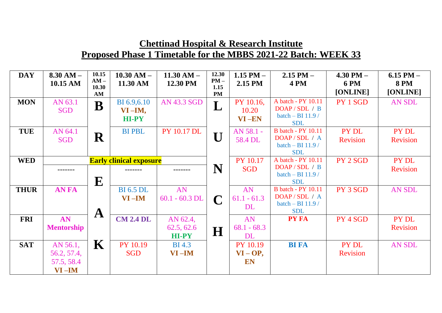| <b>DAY</b>  | $8.30 AM -$<br>10.15 AM        | 10.15<br>$AM -$<br>10.30 | $10.30$ AM $-$<br>11.30 AM | $11.30 AM -$<br>12.30 PM | 12.30<br>$PM -$<br>1.15 | 1.15 PM $-$<br>2.15 PM | $2.15$ PM $-$<br><b>4 PM</b>                    | $4.30$ PM $-$<br><b>6 PM</b> | $6.15$ PM $-$<br><b>8 PM</b> |
|-------------|--------------------------------|--------------------------|----------------------------|--------------------------|-------------------------|------------------------|-------------------------------------------------|------------------------------|------------------------------|
|             |                                | AM                       |                            |                          | <b>PM</b>               |                        |                                                 | [ONLINE]                     | [ONLINE]                     |
| <b>MON</b>  | AN 63.1                        | $\bf B$                  | BI 6.9, 6.10               | <b>AN 43.3 SGD</b>       | L                       | PY 10.16,              | A batch - PY 10.11                              | PY 1 SGD                     | AN SDL                       |
|             | <b>SGD</b>                     |                          | $VI$ –IM,                  |                          |                         | 10.20                  | DOAP/SDL/B                                      |                              |                              |
|             |                                |                          | <b>HI-PY</b>               |                          |                         | VI-EN                  | batch $-$ BI 11.9 /<br><b>SDL</b>               |                              |                              |
| <b>TUE</b>  | AN 64.1                        |                          | <b>BI PBL</b>              | <b>PY 10.17 DL</b>       | ГT                      | AN 58.1 -              | <b>B</b> batch - PY 10.11                       | PY DL                        | PY DL                        |
|             | <b>SGD</b>                     | R                        |                            |                          |                         | 58.4 DL                | DOAP/SDL/A<br>batch $-$ BI 11.9 /<br><b>SDL</b> | <b>Revision</b>              | <b>Revision</b>              |
|             |                                |                          |                            |                          |                         |                        | A batch - PY 10.11                              |                              |                              |
| <b>WED</b>  | <b>Early clinical exposure</b> |                          |                            |                          | <b>PY 10.17</b>         | DOAP / SDL / B         | PY 2 SGD                                        | PY DL                        |                              |
|             | -------                        |                          |                            |                          | N                       | <b>SGD</b>             | batch - BI 11.9 /                               |                              | <b>Revision</b>              |
|             |                                | ${\bf E}$                |                            |                          |                         |                        | <b>SDL</b>                                      |                              |                              |
| <b>THUR</b> | <b>AN FA</b>                   |                          | <b>BI</b> 6.5 DL           | AN                       |                         | AN                     | <b>B</b> batch - PY 10.11                       | PY 3 SGD                     | <b>AN SDL</b>                |
|             |                                |                          | $VI$ –IM                   | $60.1 - 60.3$ DL         |                         | $61.1 - 61.3$          | DOAP/SDL/A                                      |                              |                              |
|             |                                |                          |                            |                          |                         | <b>DL</b>              | batch $-$ BI 11.9 /                             |                              |                              |
|             |                                | $\mathbf A$              |                            |                          |                         |                        | <b>SDL</b>                                      |                              |                              |
| <b>FRI</b>  | AN                             |                          | <b>CM 2.4 DL</b>           | AN 62.4,                 |                         | AN                     | <b>PY FA</b>                                    | PY 4 SGD                     | PY DL                        |
|             | <b>Mentorship</b>              |                          |                            | 62.5, 62.6               | $\bf H$                 | $68.1 - 68.3$          |                                                 |                              | <b>Revision</b>              |
|             |                                |                          |                            | HI-PY                    |                         | <b>DL</b>              |                                                 |                              |                              |
| <b>SAT</b>  | AN 56.1,                       | $\mathbf K$              | PY 10.19                   | <b>BI</b> 4.3            |                         | <b>PY 10.19</b>        | <b>BI FA</b>                                    | PY DL                        | AN SDL                       |
|             | 56.2, 57.4,                    |                          | <b>SGD</b>                 | $VI$ –IM                 |                         | $VI - OP$ ,            |                                                 | <b>Revision</b>              |                              |
|             | 57.5, 58.4                     |                          |                            |                          |                         | <b>EN</b>              |                                                 |                              |                              |
|             | $VI$ –IM                       |                          |                            |                          |                         |                        |                                                 |                              |                              |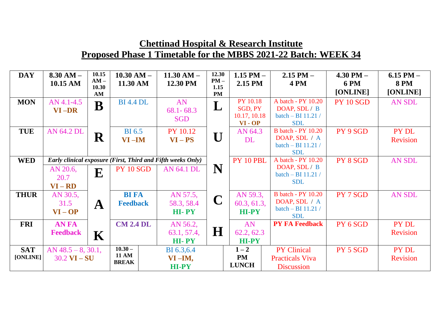| <b>DAY</b>  | $8.30 AM -$<br>10.15 AM                                     | 10.15<br>$AM -$ | $10.30 AM -$<br>11.30 AM     |  | $11.30 AM -$<br>12.30 PM | 12.30<br>$PM -$   | 1.15 PM $-$<br>2.15 PM  | $2.15$ PM $-$<br><b>4 PM</b>        | $4.30$ PM $-$<br><b>6 PM</b> | 6.15 PM $-$<br><b>8 PM</b> |
|-------------|-------------------------------------------------------------|-----------------|------------------------------|--|--------------------------|-------------------|-------------------------|-------------------------------------|------------------------------|----------------------------|
|             |                                                             | 10.30<br>AM     |                              |  |                          | 1.15<br><b>PM</b> |                         |                                     | [ONLINE]                     | [ONLINE]                   |
| <b>MON</b>  | AN 4.1-4.5                                                  | $\bf B$         | <b>BI</b> 4.4 <b>DL</b>      |  | AN                       | L                 | <b>PY 10.18</b>         | A batch - PY 10.20                  | <b>PY 10 SGD</b>             | <b>AN SDL</b>              |
|             | $VI$ – $DR$                                                 |                 |                              |  | $68.1 - 68.3$            |                   | SGD, PY<br>10.17, 10.18 | DOAP, SDL / B<br>batch - BI 11.21 / |                              |                            |
|             |                                                             |                 |                              |  | <b>SGD</b>               |                   | VI-OP                   | <b>SDL</b>                          |                              |                            |
| <b>TUE</b>  | AN 64.2 DL                                                  |                 | <b>BI</b> 6.5                |  | <b>PY 10.12</b>          | ГТ                | AN 64.3                 | <b>B</b> batch - PY 10.20           | PY 9 SGD                     | PY DL                      |
|             |                                                             | $\mathbf R$     | $VI$ –IM                     |  | $VI - PS$                | U                 | <b>DL</b>               | DOAP, SDL / A                       |                              | Revision                   |
|             |                                                             |                 |                              |  |                          |                   |                         | batch $-$ BI 11.21 /<br><b>SDL</b>  |                              |                            |
| <b>WED</b>  | Early clinical exposure (First, Third and Fifth weeks Only) |                 |                              |  |                          | PY 10 PBL         | A batch - PY 10.20      | PY 8 SGD                            | AN SDL                       |                            |
|             | AN 20.6,                                                    | ${\bf E}$       | <b>PY 10 SGD</b>             |  | <b>AN 64.1 DL</b>        | N                 |                         | DOAP, SDL / B                       |                              |                            |
|             | 20.7                                                        |                 |                              |  |                          |                   |                         | batch - BI 11.21 /<br><b>SDL</b>    |                              |                            |
|             | $VI - RD$                                                   |                 |                              |  |                          |                   |                         |                                     |                              |                            |
| <b>THUR</b> | AN 30.5,                                                    |                 | <b>BI FA</b>                 |  | AN 57.5,                 | $\mathbf C$       | AN 59.3,                | <b>B</b> batch - PY 10.20           | PY 7 SGD                     | <b>AN SDL</b>              |
|             | 31.5                                                        | $\mathbf A$     | <b>Feedback</b>              |  | 58.3, 58.4               |                   | 60.3, 61.3,             | DOAP, SDL / A<br>batch - BI 11.21 / |                              |                            |
|             | $VI - OP$                                                   |                 |                              |  | HI-PY                    |                   | <b>HI-PY</b>            | <b>SDL</b>                          |                              |                            |
| <b>FRI</b>  | <b>ANFA</b>                                                 |                 | <b>CM 2.4 DL</b>             |  | AN 56.2,                 |                   | AN                      | <b>PY FA Feedback</b>               | PY 6 SGD                     | PY DL                      |
|             | <b>Feedback</b>                                             | K               |                              |  | 63.1, 57.4,              | $\bf H$           | 62.2, 62.3              |                                     |                              | <b>Revision</b>            |
|             |                                                             |                 |                              |  | HI-PY                    |                   | <b>HI-PY</b>            |                                     |                              |                            |
| <b>SAT</b>  | AN $48.5 - 8$ , 30.1,                                       |                 | $10.30 -$                    |  | BI 6.3, 6.4              |                   | $1 - 2$                 | <b>PY Clinical</b>                  | PY 5 SGD                     | PY DL                      |
| [ONLINE]    | $30.2$ VI $-$ SU                                            |                 | <b>11 AM</b><br><b>BREAK</b> |  | $VI$ –IM,                |                   | <b>PM</b>               | <b>Practicals Viva</b>              |                              | <b>Revision</b>            |
|             |                                                             |                 |                              |  | HI-PY                    |                   | <b>LUNCH</b>            | <b>Discussion</b>                   |                              |                            |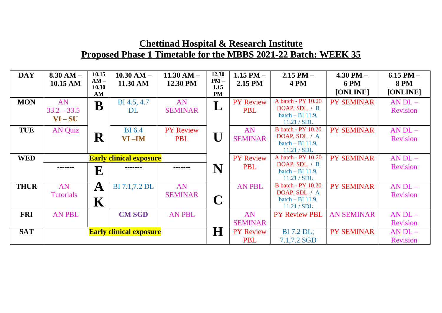| <b>DAY</b>  | $8.30 AM -$<br>10.15 AM        | 10.15<br>$AM -$<br>10.30<br>AM | $10.30$ AM $-$<br>11.30 AM     | $11.30 AM -$<br>12.30 PM       | 12.30<br>$PM -$<br>1.15<br><b>PM</b> | 1.15 PM $-$<br>2.15 PM         | $2.15$ PM $-$<br><b>4 PM</b>                                                    | $4.30$ PM $-$<br><b>6 PM</b><br>[ONLINE] | 6.15 PM $-$<br><b>8 PM</b><br>[ONLINE] |
|-------------|--------------------------------|--------------------------------|--------------------------------|--------------------------------|--------------------------------------|--------------------------------|---------------------------------------------------------------------------------|------------------------------------------|----------------------------------------|
| <b>MON</b>  | AN<br>$33.2 - 33.5$<br>$VI-SU$ | $\bf{B}$                       | BI 4.5, 4.7<br>DL              | AN<br><b>SEMINAR</b>           | L                                    | <b>PY Review</b><br><b>PBL</b> | A batch - PY 10.20<br>DOAP, SDL / B<br>batch $-$ BI 11.9,<br>11.21 / SDL        | <b>PY SEMINAR</b>                        | $AN DL -$<br><b>Revision</b>           |
| <b>TUE</b>  | <b>AN Quiz</b>                 | $\mathbf R$                    | <b>BI</b> 6.4<br>$VI$ –IM      | <b>PY Review</b><br><b>PBL</b> | $\bigcup$                            | AN<br><b>SEMINAR</b>           | <b>B</b> batch - PY 10.20<br>DOAP, SDL / A<br>batch $-$ BI 11.9,<br>11.21 / SDL | <b>PY SEMINAR</b>                        | $AN DL -$<br><b>Revision</b>           |
| <b>WED</b>  | <b>Early clinical exposure</b> |                                |                                |                                |                                      | <b>PY Review</b>               | A batch - PY 10.20                                                              | <b>PY SEMINAR</b>                        | $AN DL -$                              |
|             | -------                        | $\overline{\mathbf{E}}$        |                                |                                | N                                    | <b>PBL</b>                     | DOAP, SDL / B<br>batch $-$ BI 11.9,<br>11.21 / SDL                              |                                          | <b>Revision</b>                        |
| <b>THUR</b> | AN<br><b>Tutorials</b>         | $\mathbf A$<br>$\mathbf K$     | <b>BI</b> 7.1,7.2 <b>DL</b>    | AN<br><b>SEMINAR</b>           | $\mathbf C$                          | <b>AN PBL</b>                  | <b>B</b> batch - PY 10.20<br>DOAP, SDL / A<br>batch $-$ BI 11.9,<br>11.21 / SDL | <b>PY SEMINAR</b>                        | $AN DL -$<br><b>Revision</b>           |
| <b>FRI</b>  | <b>AN PBL</b>                  |                                | <b>CM SGD</b>                  | <b>AN PBL</b>                  |                                      | AN                             | <b>PY Review PBL</b>                                                            | <b>AN SEMINAR</b>                        | $AN DL -$                              |
| <b>SAT</b>  |                                |                                |                                |                                |                                      | <b>SEMINAR</b>                 |                                                                                 |                                          | <b>Revision</b>                        |
|             |                                |                                | <b>Early clinical exposure</b> |                                | $\bf H$                              | <b>PY Review</b><br><b>PBL</b> | <b>BI</b> 7.2 DL;<br>7.1,7.2 SGD                                                | <b>PY SEMINAR</b>                        | $AN DL -$<br><b>Revision</b>           |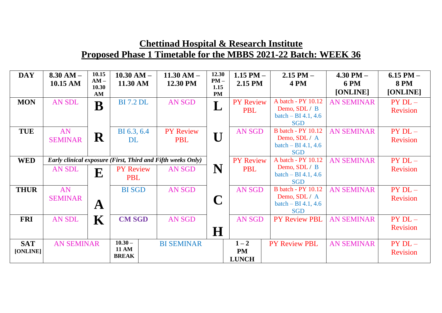| <b>DAY</b>             | $8.30 AM -$<br>10.15 AM | 10.15<br>$AM -$<br>10.30                                           | $10.30 AM -$<br>11.30 AM                  | $11.30 AM -$<br>12.30 PM       | 12.30<br>$PM -$<br>1.15 | $1.15$ PM $-$<br>2.15 PM             | $2.15$ PM $-$<br><b>4 PM</b>                                                      | $4.30$ PM $-$<br><b>6 PM</b> | $6.15$ PM $-$<br><b>8 PM</b>  |
|------------------------|-------------------------|--------------------------------------------------------------------|-------------------------------------------|--------------------------------|-------------------------|--------------------------------------|-----------------------------------------------------------------------------------|------------------------------|-------------------------------|
|                        |                         | AM                                                                 |                                           |                                | <b>PM</b>               |                                      |                                                                                   | [ONLINE]                     | [ONLINE]                      |
| <b>MON</b>             | AN SDL                  | $\overline{\mathbf{B}}$                                            | <b>BI</b> 7.2 DL                          | AN SGD                         | L                       | <b>PY Review</b><br><b>PBL</b>       | A batch - PY 10.12<br>Demo, SDL / B<br>$batch - BI 4.1, 4.6$<br><b>SGD</b>        | <b>AN SEMINAR</b>            | $PY$ $DL-$<br><b>Revision</b> |
| <b>TUE</b>             | AN<br><b>SEMINAR</b>    | ${\bf R}$                                                          | BI 6.3, 6.4<br><b>DL</b>                  | <b>PY Review</b><br><b>PBL</b> | $\mathbf{U}$            | <b>AN SGD</b>                        | <b>B</b> batch - PY 10.12<br>Demo, SDL / A<br>$batch - BI 4.1, 4.6$<br><b>SGD</b> | <b>AN SEMINAR</b>            | $PY$ $DL-$<br><b>Revision</b> |
| <b>WED</b>             |                         | <b>Early clinical exposure (First, Third and Fifth weeks Only)</b> |                                           |                                |                         | <b>PY Review</b>                     | A batch - PY 10.12                                                                | <b>AN SEMINAR</b>            | $PY$ DL $-$                   |
|                        | AN SDL                  | E                                                                  | <b>PY Review</b><br><b>PBL</b>            | AN SGD                         | N                       | <b>PBL</b>                           | Demo, SDL / B<br>$batch - BI 4.1, 4.6$<br><b>SGD</b>                              |                              | <b>Revision</b>               |
| <b>THUR</b>            | AN<br><b>SEMINAR</b>    | $\mathbf A$                                                        | <b>BI</b> SGD                             | <b>AN SGD</b>                  | $\mathbf C$             | <b>AN SGD</b>                        | <b>B</b> batch - PY 10.12<br>Demo, SDL / A<br>$batch - BI 4.1, 4.6$<br><b>SGD</b> | <b>AN SEMINAR</b>            | $PY$ $DL-$<br><b>Revision</b> |
| <b>FRI</b>             | <b>AN SDL</b>           | $\mathbf K$                                                        | <b>CM SGD</b>                             | <b>AN SGD</b>                  | H                       | <b>AN SGD</b>                        | <b>PY Review PBL</b>                                                              | <b>AN SEMINAR</b>            | $PY$ $DL-$<br><b>Revision</b> |
| <b>SAT</b><br>[ONLINE] | <b>AN SEMINAR</b>       |                                                                    | $10.30 -$<br><b>11 AM</b><br><b>BREAK</b> | <b>BI SEMINAR</b>              |                         | $1 - 2$<br><b>PM</b><br><b>LUNCH</b> | <b>PY Review PBL</b>                                                              | <b>AN SEMINAR</b>            | $PYDL-$<br><b>Revision</b>    |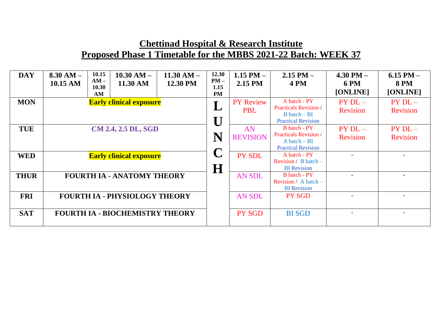| <b>DAY</b>  | $8.30 AM -$<br>10.15 AM | 10.15<br>$AM -$<br>10.30<br>AM | $10.30 AM -$<br>11.30 AM               | $11.30 AM -$<br>12.30 PM | 12.30<br>$PM -$<br>1.15<br>PM | $1.15$ PM $-$<br>2.15 PM       | $2.15$ PM $-$<br><b>4 PM</b>                                                                                 | $4.30$ PM $-$<br><b>6 PM</b><br>[ONLINE] | $6.15$ PM $-$<br><b>8 PM</b><br>[ONLINE] |
|-------------|-------------------------|--------------------------------|----------------------------------------|--------------------------|-------------------------------|--------------------------------|--------------------------------------------------------------------------------------------------------------|------------------------------------------|------------------------------------------|
| <b>MON</b>  |                         |                                | <b>Early clinical exposure</b>         |                          |                               | <b>PY Review</b><br><b>PBL</b> | A batch - PY<br><b>Practicals Revision</b> /<br>$B \, \text{batch} - \text{BI}$<br><b>Practical Revision</b> | $PYDL-$<br>Revision                      | $PYDL-$<br><b>Revision</b>               |
| <b>TUE</b>  |                         |                                | CM 2.4, 2.5 DL, SGD                    |                          | N                             | AN<br><b>REVISION</b>          | B batch - PY<br><b>Practicals Revision</b> /<br>$A batch - BI$<br><b>Practical Revision</b>                  | $PYDL-$<br><b>Revision</b>               | $PYDL-$<br><b>Revision</b>               |
| <b>WED</b>  |                         |                                | <b>Early clinical exposure</b>         |                          | $\bf H$                       | <b>PY SDL</b>                  | A batch - PY<br><b>Revision</b> / $B$ batch –<br><b>BI</b> Revision                                          |                                          |                                          |
| <b>THUR</b> |                         |                                | <b>FOURTH IA - ANATOMY THEORY</b>      |                          |                               | <b>AN SDL</b>                  | B batch - PY<br>Revision / A batch $-$<br><b>BI</b> Revision                                                 |                                          |                                          |
| <b>FRI</b>  |                         |                                | <b>FOURTH IA - PHYSIOLOGY THEORY</b>   |                          |                               | <b>AN SDL</b>                  | <b>PY SGD</b>                                                                                                |                                          |                                          |
| <b>SAT</b>  |                         |                                | <b>FOURTH IA - BIOCHEMISTRY THEORY</b> |                          |                               | PY SGD                         | <b>BI SGD</b>                                                                                                |                                          |                                          |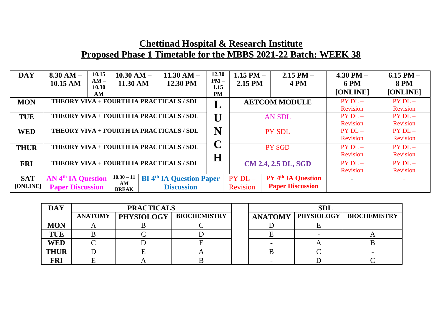| <b>DAY</b>             | $8.30 AM -$<br>10.15 AM                                                                                                                                        | 10.15<br>$AM -$<br>10.30<br>AM | $10.30 AM -$<br>11.30 AM |  | $11.30 AM -$<br>12.30 PM                 | 12.30<br>$PM -$<br>1.15<br><b>PM</b> | 1.15 PM $-$<br>2.15 PM        |  | $2.15$ PM $-$<br><b>4 PM</b>                         | 4.30 PM $-$<br><b>6 PM</b><br>[ONLINE] | 6.15 PM $-$<br><b>8 PM</b><br>[ONLINE] |
|------------------------|----------------------------------------------------------------------------------------------------------------------------------------------------------------|--------------------------------|--------------------------|--|------------------------------------------|--------------------------------------|-------------------------------|--|------------------------------------------------------|----------------------------------------|----------------------------------------|
| <b>MON</b>             | THEORY VIVA + FOURTH IA PRACTICALS / SDL                                                                                                                       |                                |                          |  |                                          |                                      | <b>AETCOM MODULE</b>          |  |                                                      | $PYDL-$<br>Revision                    | $PY$ DL $-$<br><b>Revision</b>         |
| <b>TUE</b>             | THEORY VIVA + FOURTH IA PRACTICALS / SDL                                                                                                                       |                                |                          |  |                                          |                                      |                               |  | <b>AN SDL</b>                                        | $PYDL-$<br>Revision                    | $PY$ $DL-$<br>Revision                 |
| <b>WED</b>             | THEORY VIVA + FOURTH IA PRACTICALS / SDL                                                                                                                       |                                |                          |  |                                          |                                      | <b>PY SDL</b>                 |  | $PYDL-$<br>Revision                                  | $PY$ $DL-$<br><b>Revision</b>          |                                        |
| <b>THUR</b>            |                                                                                                                                                                |                                |                          |  | THEORY VIVA + FOURTH IA PRACTICALS / SDL | H                                    |                               |  | <b>PY SGD</b>                                        | $PYDL-$<br>Revision                    | $PY$ $DL-$<br><b>Revision</b>          |
| <b>FRI</b>             | THEORY VIVA + FOURTH IA PRACTICALS / SDL                                                                                                                       |                                |                          |  |                                          |                                      | CM 2.4, 2.5 DL, SGD           |  |                                                      | $PYDL-$<br>Revision                    | $PY$ $DL-$<br>Revision                 |
| <b>SAT</b><br>[ONLINE] | $10.30 - 11$<br><b>AN 4th IA Question</b><br><b>BI</b> 4 <sup>th</sup> IA Question Paper<br>AM<br><b>Paper Discussion</b><br><b>Discussion</b><br><b>BREAK</b> |                                |                          |  |                                          |                                      | $PY$ $DL-$<br><b>Revision</b> |  | <b>PY 4th IA Question</b><br><b>Paper Discussion</b> |                                        |                                        |

| <b>DAY</b>  |                | <b>PRACTICALS</b> |                     | <b>SDL</b>     |            |                     |  |  |
|-------------|----------------|-------------------|---------------------|----------------|------------|---------------------|--|--|
|             | <b>ANATOMY</b> | <b>PHYSIOLOGY</b> | <b>BIOCHEMISTRY</b> | <b>ANATOMY</b> | PHYSIOLOGY | <b>BIOCHEMISTRY</b> |  |  |
| <b>MON</b>  |                |                   |                     |                |            |                     |  |  |
| <b>TUE</b>  |                |                   |                     |                |            |                     |  |  |
| <b>WED</b>  |                |                   |                     |                |            |                     |  |  |
| <b>THUR</b> |                |                   |                     |                |            |                     |  |  |
| <b>FRI</b>  |                |                   |                     |                |            |                     |  |  |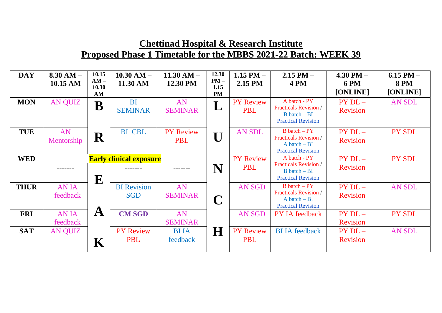| <b>DAY</b>  | $8.30 AM -$<br>10.15 AM | 10.15<br>$AM -$<br>10.30<br>AM | $10.30 AM -$<br>11.30 AM         | $11.30 AM -$<br>12.30 PM       | 12.30<br>$PM -$<br>1.15<br><b>PM</b> | 1.15 PM $-$<br>2.15 PM         | $2.15$ PM $-$<br><b>4 PM</b>                                                                                 | $4.30$ PM $-$<br><b>6 PM</b><br>[ONLINE] | 6.15 PM $-$<br><b>8 PM</b><br>[ONLINE] |
|-------------|-------------------------|--------------------------------|----------------------------------|--------------------------------|--------------------------------------|--------------------------------|--------------------------------------------------------------------------------------------------------------|------------------------------------------|----------------------------------------|
| <b>MON</b>  | <b>AN QUIZ</b>          | B                              | <b>BI</b><br><b>SEMINAR</b>      | AN<br><b>SEMINAR</b>           | L                                    | <b>PY Review</b><br><b>PBL</b> | A batch - PY<br><b>Practicals Revision /</b><br>$B \, \text{batch} - \text{BI}$<br><b>Practical Revision</b> | $PY$ $DL-$<br><b>Revision</b>            | AN SDL                                 |
| <b>TUE</b>  | AN<br>Mentorship        | ${\bf R}$                      | <b>BI</b> CBL                    | <b>PY Review</b><br><b>PBL</b> |                                      | <b>AN SDL</b>                  | $B \, \text{batch} - PY$<br><b>Practicals Revision /</b><br>$A batch - BI$<br><b>Practical Revision</b>      | $PY$ DL $-$<br><b>Revision</b>           | PY SDL                                 |
| <b>WED</b>  |                         | ${\bf E}$                      | <b>Early clinical exposure</b>   |                                | N                                    | <b>PY Review</b><br><b>PBL</b> | A batch - PY<br><b>Practicals Revision</b> /<br>$B \, \text{batch} - \text{BI}$<br><b>Practical Revision</b> | $PY$ DL $-$<br><b>Revision</b>           | PY SDL                                 |
| <b>THUR</b> | <b>ANIA</b><br>feedback |                                | <b>BI</b> Revision<br><b>SGD</b> | AN<br><b>SEMINAR</b>           | $\mathbf C$                          | <b>AN SGD</b>                  | $B \, \text{batch} - PY$<br><b>Practicals Revision /</b><br>$A batch - BI$<br><b>Practical Revision</b>      | $PY$ DL $-$<br>Revision                  | <b>AN SDL</b>                          |
| <b>FRI</b>  | <b>ANIA</b><br>feedback | $\mathbf A$                    | <b>CM SGD</b>                    | AN<br><b>SEMINAR</b>           |                                      | <b>AN SGD</b>                  | <b>PY IA feedback</b>                                                                                        | $PY$ DL $-$<br><b>Revision</b>           | PY SDL                                 |
| <b>SAT</b>  | <b>AN QUIZ</b>          | $\mathbf K$                    | <b>PY Review</b><br><b>PBL</b>   | <b>BI</b> IA<br>feedback       | $\bf H$                              | <b>PY Review</b><br><b>PBL</b> | <b>BI IA feedback</b>                                                                                        | $PYDL-$<br><b>Revision</b>               | <b>AN SDL</b>                          |